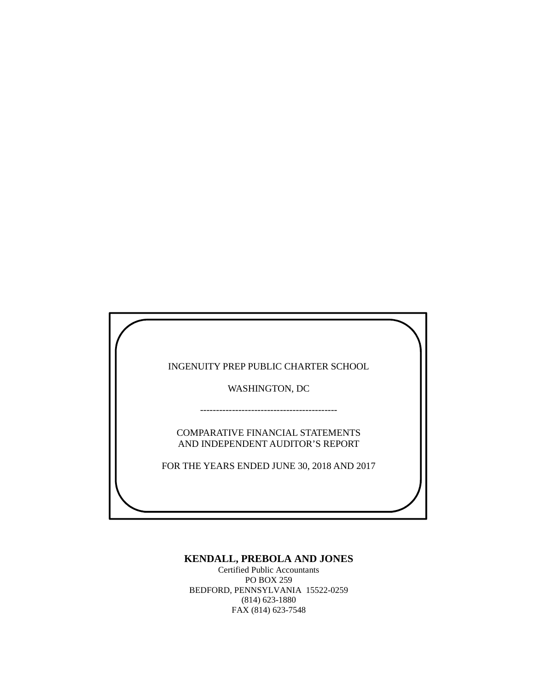INGENUITY PREP PUBLIC CHARTER SCHOOL

WASHINGTON, DC

-------------------------------------------

COMPARATIVE FINANCIAL STATEMENTS AND INDEPENDENT AUDITOR'S REPORT

FOR THE YEARS ENDED JUNE 30, 2018 AND 2017

#### **KENDALL, PREBOLA AND JONES**

Certified Public Accountants PO BOX 259 BEDFORD, PENNSYLVANIA 15522-0259 (814) 623-1880 FAX (814) 623-7548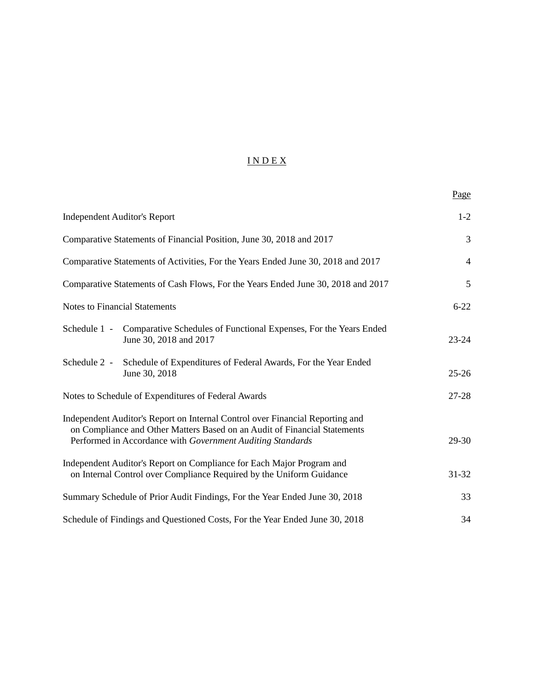# I N D E X

|                                                                                                                                                                                                                          | Page           |
|--------------------------------------------------------------------------------------------------------------------------------------------------------------------------------------------------------------------------|----------------|
| <b>Independent Auditor's Report</b>                                                                                                                                                                                      | $1-2$          |
| Comparative Statements of Financial Position, June 30, 2018 and 2017                                                                                                                                                     | 3              |
| Comparative Statements of Activities, For the Years Ended June 30, 2018 and 2017                                                                                                                                         | $\overline{4}$ |
| Comparative Statements of Cash Flows, For the Years Ended June 30, 2018 and 2017                                                                                                                                         | 5              |
| Notes to Financial Statements                                                                                                                                                                                            | $6 - 22$       |
| Schedule 1 - Comparative Schedules of Functional Expenses, For the Years Ended<br>June 30, 2018 and 2017                                                                                                                 | $23 - 24$      |
| Schedule 2 -<br>Schedule of Expenditures of Federal Awards, For the Year Ended<br>June 30, 2018                                                                                                                          | $25 - 26$      |
| Notes to Schedule of Expenditures of Federal Awards                                                                                                                                                                      | 27-28          |
| Independent Auditor's Report on Internal Control over Financial Reporting and<br>on Compliance and Other Matters Based on an Audit of Financial Statements<br>Performed in Accordance with Government Auditing Standards | 29-30          |
| Independent Auditor's Report on Compliance for Each Major Program and<br>on Internal Control over Compliance Required by the Uniform Guidance                                                                            | $31 - 32$      |
| Summary Schedule of Prior Audit Findings, For the Year Ended June 30, 2018                                                                                                                                               | 33             |
| Schedule of Findings and Questioned Costs, For the Year Ended June 30, 2018                                                                                                                                              | 34             |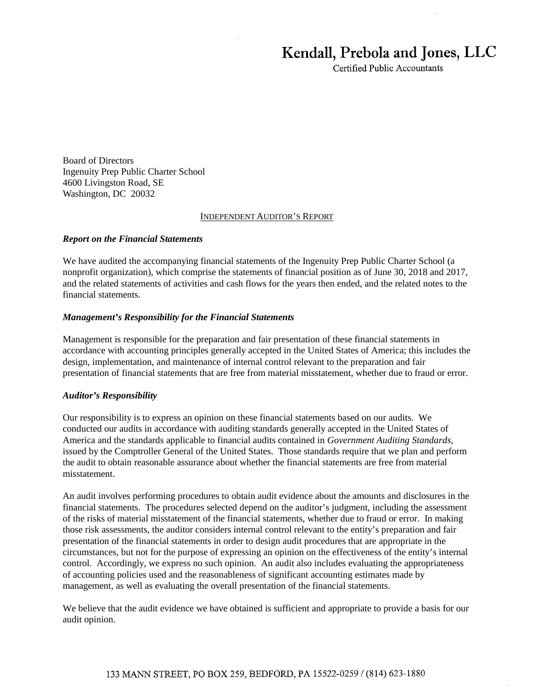# **Kendall, Prebola and Jones, LLC**

Certified Public Accountants

Board of Directors Ingenuity Prep Public Charter School 4600 Livingston Road, SE Washington, DC 20032

#### INDEPENDENT AUDITOR'S REPORT

#### *Report on the Financial Statements*

We have audited the accompanying financial statements of the Ingenuity Prep Public Charter School (a nonprofit organization), which comprise the statements of financial position as of June 30, 2018 and 2017, and the related statements of activities and cash flows for the years then ended, and the related notes to the financial statements.

#### *Management's Responsibility for the Financial Statements*

Management is responsible for the preparation and fair presentation of these financial statements in accordance with accounting principles generally accepted in the United States of America; this includes the design, implementation, and maintenance of internal control relevant to the preparation and fair presentation of financial statements that are free from material misstatement, whether due to fraud or error.

#### *Auditor's Responsibility*

Our responsibility is to express an opinion on these financial statements based on our audits. We conducted our audits in accordance with auditing standards generally accepted in the United States of America and the standards applicable to financial audits contained in *Government Auditing Standards*, issued by the Comptroller General of the United States. Those standards require that we plan and perform the audit to obtain reasonable assurance about whether the financial statements are free from material misstatement.

An audit involves performing procedures to obtain audit evidence about the amounts and disclosures in the financial statements. The procedures selected depend on the auditor's judgment, including the assessment of the risks of material misstatement of the financial statements, whether due to fraud or error. In making those risk assessments, the auditor considers internal control relevant to the entity's preparation and fair presentation of the financial statements in order to design audit procedures that are appropriate in the circumstances, but not for the purpose of expressing an opinion on the effectiveness of the entity's internal control. Accordingly, we express no such opinion. An audit also includes evaluating the appropriateness of accounting policies used and the reasonableness of significant accounting estimates made by management, as well as evaluating the overall presentation of the financial statements.

We believe that the audit evidence we have obtained is sufficient and appropriate to provide a basis for our audit opinion.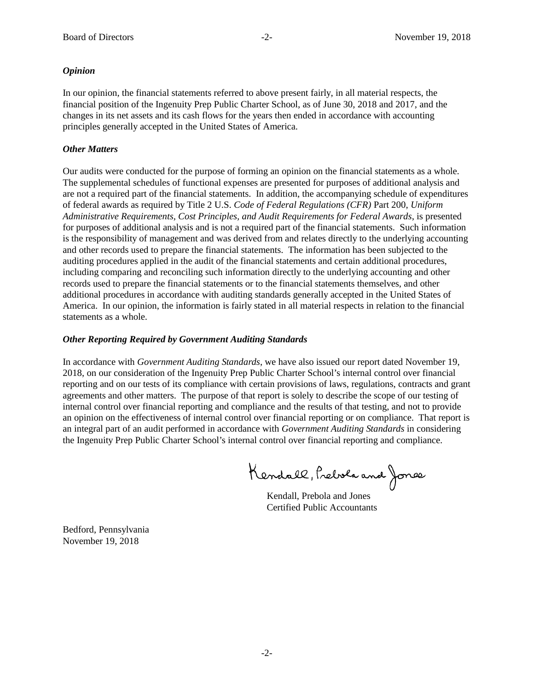#### *Opinion*

In our opinion, the financial statements referred to above present fairly, in all material respects, the financial position of the Ingenuity Prep Public Charter School, as of June 30, 2018 and 2017, and the changes in its net assets and its cash flows for the years then ended in accordance with accounting principles generally accepted in the United States of America.

#### *Other Matters*

Our audits were conducted for the purpose of forming an opinion on the financial statements as a whole. The supplemental schedules of functional expenses are presented for purposes of additional analysis and are not a required part of the financial statements. In addition, the accompanying schedule of expenditures of federal awards as required by Title 2 U.S. *Code of Federal Regulations (CFR)* Part 200, *Uniform Administrative Requirements, Cost Principles, and Audit Requirements for Federal Awards*, is presented for purposes of additional analysis and is not a required part of the financial statements. Such information is the responsibility of management and was derived from and relates directly to the underlying accounting and other records used to prepare the financial statements. The information has been subjected to the auditing procedures applied in the audit of the financial statements and certain additional procedures, including comparing and reconciling such information directly to the underlying accounting and other records used to prepare the financial statements or to the financial statements themselves, and other additional procedures in accordance with auditing standards generally accepted in the United States of America. In our opinion, the information is fairly stated in all material respects in relation to the financial statements as a whole.

#### *Other Reporting Required by Government Auditing Standards*

In accordance with *Government Auditing Standards*, we have also issued our report dated November 19, 2018, on our consideration of the Ingenuity Prep Public Charter School's internal control over financial reporting and on our tests of its compliance with certain provisions of laws, regulations, contracts and grant agreements and other matters. The purpose of that report is solely to describe the scope of our testing of internal control over financial reporting and compliance and the results of that testing, and not to provide an opinion on the effectiveness of internal control over financial reporting or on compliance. That report is an integral part of an audit performed in accordance with *Government Auditing Standards* in considering the Ingenuity Prep Public Charter School's internal control over financial reporting and compliance.

\Q.1,,,,6.i2\_Q\_, f),a,\*4., o,L.).,., *..QrnaALS-Q-* , *ena)-0-e•0.-* 0,p,',). *)0y\s2o,* 

Kendall, Prebola and Jones Certified Public Accountants

Bedford, Pennsylvania November 19, 2018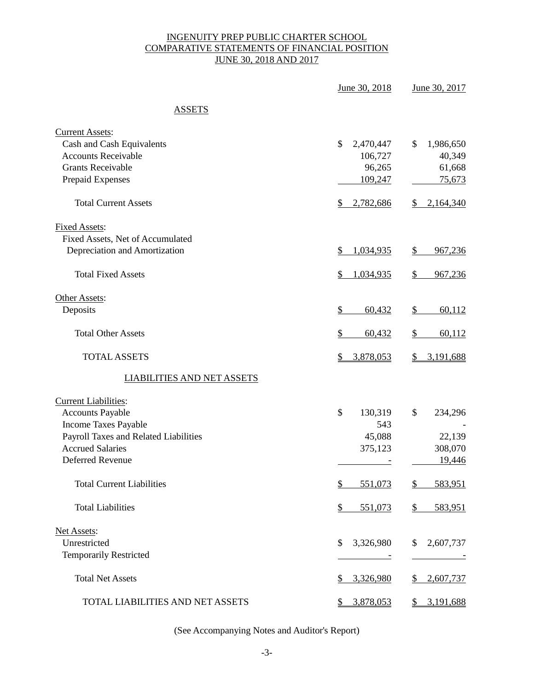# INGENUITY PREP PUBLIC CHARTER SCHOOL COMPARATIVE STATEMENTS OF FINANCIAL POSITION JUNE 30, 2018 AND 2017

|                                       | June 30, 2018   | June 30, 2017   |
|---------------------------------------|-----------------|-----------------|
| <b>ASSETS</b>                         |                 |                 |
| <b>Current Assets:</b>                |                 |                 |
| Cash and Cash Equivalents             | \$<br>2,470,447 | 1,986,650<br>\$ |
| <b>Accounts Receivable</b>            | 106,727         | 40,349          |
| <b>Grants Receivable</b>              | 96,265          | 61,668          |
| Prepaid Expenses                      | 109,247         | 75,673          |
| <b>Total Current Assets</b>           | 2,782,686<br>\$ | \$<br>2,164,340 |
| <b>Fixed Assets:</b>                  |                 |                 |
| Fixed Assets, Net of Accumulated      |                 |                 |
| Depreciation and Amortization         | 1,034,935<br>\$ | \$<br>967,236   |
| <b>Total Fixed Assets</b>             | 1,034,935<br>\$ | \$<br>967,236   |
| Other Assets:                         |                 |                 |
| Deposits                              | \$<br>60,432    | 60,112<br>\$    |
| <b>Total Other Assets</b>             | \$<br>60,432    | \$<br>60,112    |
| <b>TOTAL ASSETS</b>                   | 3,878,053<br>\$ | 3,191,688<br>\$ |
| <b>LIABILITIES AND NET ASSETS</b>     |                 |                 |
| <b>Current Liabilities:</b>           |                 |                 |
| <b>Accounts Payable</b>               | \$<br>130,319   | \$<br>234,296   |
| <b>Income Taxes Payable</b>           | 543             |                 |
| Payroll Taxes and Related Liabilities | 45,088          | 22,139          |
| <b>Accrued Salaries</b>               | 375,123         | 308,070         |
| Deferred Revenue                      |                 | 19,446          |
| <b>Total Current Liabilities</b>      | \$<br>551,073   | \$<br>583,951   |
| <b>Total Liabilities</b>              | \$<br>551,073   | \$<br>583,951   |
| Net Assets:                           |                 |                 |
| Unrestricted                          | \$<br>3,326,980 | 2,607,737<br>\$ |
| <b>Temporarily Restricted</b>         |                 |                 |
| <b>Total Net Assets</b>               | 3,326,980       | 2,607,737<br>S  |
| TOTAL LIABILITIES AND NET ASSETS      | 3,878,053<br>P  | 3,191,688<br>\$ |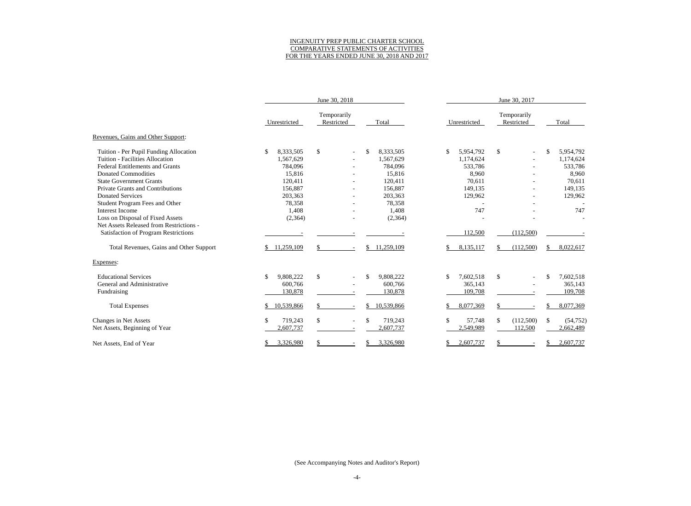#### INGENUITY PREP PUBLIC CHARTER SCHOOL COMPARATIVE STATEMENTS OF ACTIVITIES FOR THE YEARS ENDED JUNE 30, 2018 AND 2017

|                                         | June 30, 2018             |                           | June 30, 2017               |                           |                           |                 |
|-----------------------------------------|---------------------------|---------------------------|-----------------------------|---------------------------|---------------------------|-----------------|
|                                         | Unrestricted              | Temporarily<br>Restricted | Total                       | Unrestricted              | Temporarily<br>Restricted | Total           |
| Revenues, Gains and Other Support:      |                           |                           |                             |                           |                           |                 |
| Tuition - Per Pupil Funding Allocation  | $\mathbb{S}$<br>8,333,505 | $\sqrt$                   | <sup>\$</sup><br>8,333,505  | \$<br>5,954,792           | \$                        | \$<br>5,954,792 |
| Tuition - Facilities Allocation         | 1,567,629                 |                           | 1,567,629                   | 1,174,624                 |                           | 1,174,624       |
| <b>Federal Entitlements and Grants</b>  | 784,096                   |                           | 784,096                     | 533,786                   |                           | 533,786         |
| <b>Donated Commodities</b>              | 15,816                    |                           | 15,816                      | 8,960                     |                           | 8,960           |
| <b>State Government Grants</b>          | 120,411                   |                           | 120,411                     | 70,611                    |                           | 70,611          |
| Private Grants and Contributions        | 156,887                   |                           | 156,887                     | 149,135                   |                           | 149,135         |
| <b>Donated Services</b>                 | 203,363                   |                           | 203,363                     | 129,962                   |                           | 129,962         |
| Student Program Fees and Other          | 78,358                    |                           | 78,358                      |                           |                           |                 |
| Interest Income                         | 1,408                     |                           | 1,408                       | 747                       |                           | 747             |
| Loss on Disposal of Fixed Assets        | (2,364)                   |                           | (2,364)                     |                           |                           |                 |
| Net Assets Released from Restrictions - |                           |                           |                             |                           |                           |                 |
| Satisfaction of Program Restrictions    |                           |                           |                             | 112,500                   | (112,500)                 |                 |
| Total Revenues, Gains and Other Support | 11,259,109                | \$                        | <sup>\$</sup><br>11,259,109 | 8,135,117                 | (112,500)                 | 8,022,617<br>S. |
| Expenses:                               |                           |                           |                             |                           |                           |                 |
| <b>Educational Services</b>             | 9,808,222<br>\$           | $\sqrt$                   | 9,808,222<br>\$             | $\mathbb{S}$<br>7,602,518 | \$                        | 7,602,518<br>\$ |
| General and Administrative              | 600,766                   |                           | 600,766                     | 365,143                   |                           | 365,143         |
| Fundraising                             | 130,878                   |                           | 130,878                     | 109,708                   |                           | 109,708         |
| <b>Total Expenses</b>                   | 10,539,866                | \$                        | \$<br>10,539,866            | 8,077,369                 |                           | 8,077,369       |
| Changes in Net Assets                   | \$.<br>719,243            | \$                        | 719,243<br>S.               | $\mathbb{S}$<br>57,748    | \$<br>(112,500)           | \$<br>(54, 752) |
| Net Assets, Beginning of Year           | 2,607,737                 |                           | 2,607,737                   | 2,549,989                 | 112,500                   | 2,662,489       |
| Net Assets, End of Year                 | 3,326,980                 |                           | 3,326,980                   | 2,607,737                 |                           | 2,607,737       |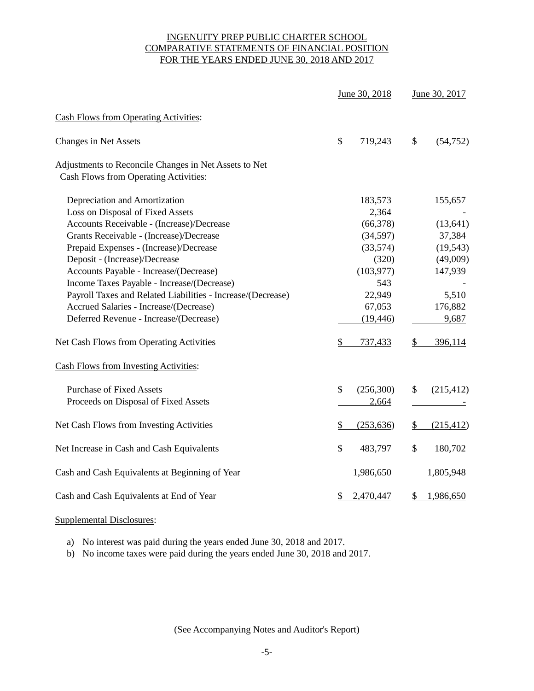#### INGENUITY PREP PUBLIC CHARTER SCHOOL COMPARATIVE STATEMENTS OF FINANCIAL POSITION FOR THE YEARS ENDED JUNE 30, 2018 AND 2017

|                                                                                                                                                                                                                                                                                                                                                                                                                                                                                 |               | June 30, 2018                                                                                                        | June 30, 2017                                                                                   |
|---------------------------------------------------------------------------------------------------------------------------------------------------------------------------------------------------------------------------------------------------------------------------------------------------------------------------------------------------------------------------------------------------------------------------------------------------------------------------------|---------------|----------------------------------------------------------------------------------------------------------------------|-------------------------------------------------------------------------------------------------|
| <b>Cash Flows from Operating Activities:</b>                                                                                                                                                                                                                                                                                                                                                                                                                                    |               |                                                                                                                      |                                                                                                 |
| Changes in Net Assets                                                                                                                                                                                                                                                                                                                                                                                                                                                           | \$            | 719,243                                                                                                              | \$<br>(54, 752)                                                                                 |
| Adjustments to Reconcile Changes in Net Assets to Net<br>Cash Flows from Operating Activities:                                                                                                                                                                                                                                                                                                                                                                                  |               |                                                                                                                      |                                                                                                 |
| Depreciation and Amortization<br>Loss on Disposal of Fixed Assets<br>Accounts Receivable - (Increase)/Decrease<br>Grants Receivable - (Increase)/Decrease<br>Prepaid Expenses - (Increase)/Decrease<br>Deposit - (Increase)/Decrease<br>Accounts Payable - Increase/(Decrease)<br>Income Taxes Payable - Increase/(Decrease)<br>Payroll Taxes and Related Liabilities - Increase/(Decrease)<br>Accrued Salaries - Increase/(Decrease)<br>Deferred Revenue - Increase/(Decrease) |               | 183,573<br>2,364<br>(66,378)<br>(34, 597)<br>(33,574)<br>(320)<br>(103, 977)<br>543<br>22,949<br>67,053<br>(19, 446) | 155,657<br>(13, 641)<br>37,384<br>(19, 543)<br>(49,009)<br>147,939<br>5,510<br>176,882<br>9,687 |
| Net Cash Flows from Operating Activities                                                                                                                                                                                                                                                                                                                                                                                                                                        | \$            | 737,433                                                                                                              | \$<br>396,114                                                                                   |
| <b>Cash Flows from Investing Activities:</b>                                                                                                                                                                                                                                                                                                                                                                                                                                    |               |                                                                                                                      |                                                                                                 |
| <b>Purchase of Fixed Assets</b><br>Proceeds on Disposal of Fixed Assets                                                                                                                                                                                                                                                                                                                                                                                                         | \$            | (256,300)<br>2,664                                                                                                   | \$<br>(215, 412)                                                                                |
| Net Cash Flows from Investing Activities                                                                                                                                                                                                                                                                                                                                                                                                                                        | $\frac{1}{2}$ | (253, 636)                                                                                                           | \$<br>(215, 412)                                                                                |
| Net Increase in Cash and Cash Equivalents                                                                                                                                                                                                                                                                                                                                                                                                                                       | \$            | 483,797                                                                                                              | \$<br>180,702                                                                                   |
| Cash and Cash Equivalents at Beginning of Year                                                                                                                                                                                                                                                                                                                                                                                                                                  |               | 1,986,650                                                                                                            | 1,805,948                                                                                       |
| Cash and Cash Equivalents at End of Year                                                                                                                                                                                                                                                                                                                                                                                                                                        |               | 2,470,447                                                                                                            | 1,986,650                                                                                       |

Supplemental Disclosures:

a) No interest was paid during the years ended June 30, 2018 and 2017.

b) No income taxes were paid during the years ended June 30, 2018 and 2017.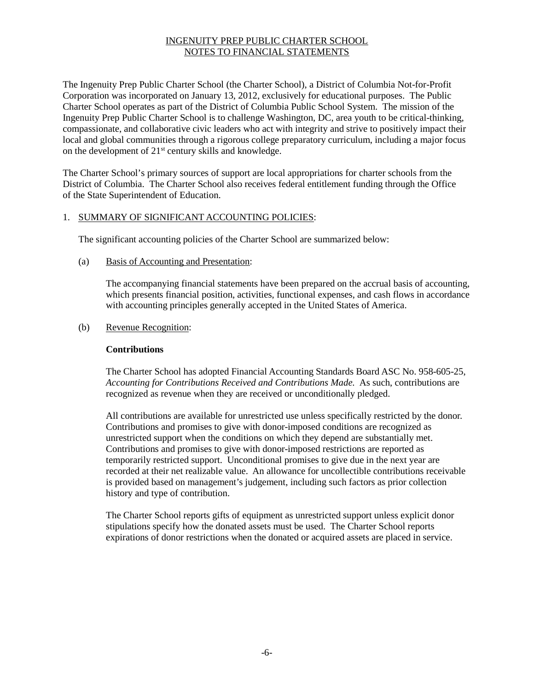The Ingenuity Prep Public Charter School (the Charter School), a District of Columbia Not-for-Profit Corporation was incorporated on January 13, 2012, exclusively for educational purposes. The Public Charter School operates as part of the District of Columbia Public School System. The mission of the Ingenuity Prep Public Charter School is to challenge Washington, DC, area youth to be critical-thinking, compassionate, and collaborative civic leaders who act with integrity and strive to positively impact their local and global communities through a rigorous college preparatory curriculum, including a major focus on the development of  $21<sup>st</sup>$  century skills and knowledge.

The Charter School's primary sources of support are local appropriations for charter schools from the District of Columbia. The Charter School also receives federal entitlement funding through the Office of the State Superintendent of Education.

#### 1. SUMMARY OF SIGNIFICANT ACCOUNTING POLICIES:

The significant accounting policies of the Charter School are summarized below:

#### (a) Basis of Accounting and Presentation:

The accompanying financial statements have been prepared on the accrual basis of accounting, which presents financial position, activities, functional expenses, and cash flows in accordance with accounting principles generally accepted in the United States of America.

# (b) Revenue Recognition:

#### **Contributions**

The Charter School has adopted Financial Accounting Standards Board ASC No. 958-605-25, *Accounting for Contributions Received and Contributions Made.* As such, contributions are recognized as revenue when they are received or unconditionally pledged.

All contributions are available for unrestricted use unless specifically restricted by the donor. Contributions and promises to give with donor-imposed conditions are recognized as unrestricted support when the conditions on which they depend are substantially met. Contributions and promises to give with donor-imposed restrictions are reported as temporarily restricted support. Unconditional promises to give due in the next year are recorded at their net realizable value. An allowance for uncollectible contributions receivable is provided based on management's judgement, including such factors as prior collection history and type of contribution.

The Charter School reports gifts of equipment as unrestricted support unless explicit donor stipulations specify how the donated assets must be used. The Charter School reports expirations of donor restrictions when the donated or acquired assets are placed in service.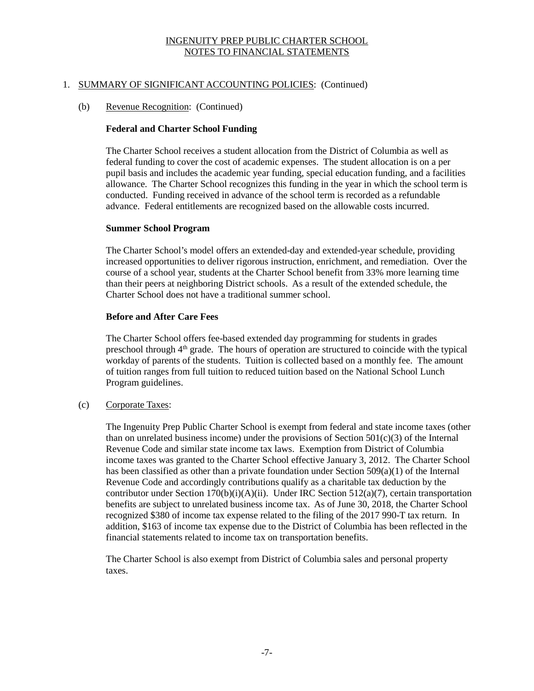# 1. SUMMARY OF SIGNIFICANT ACCOUNTING POLICIES: (Continued)

#### (b) Revenue Recognition: (Continued)

#### **Federal and Charter School Funding**

The Charter School receives a student allocation from the District of Columbia as well as federal funding to cover the cost of academic expenses. The student allocation is on a per pupil basis and includes the academic year funding, special education funding, and a facilities allowance. The Charter School recognizes this funding in the year in which the school term is conducted. Funding received in advance of the school term is recorded as a refundable advance. Federal entitlements are recognized based on the allowable costs incurred.

#### **Summer School Program**

The Charter School's model offers an extended-day and extended-year schedule, providing increased opportunities to deliver rigorous instruction, enrichment, and remediation. Over the course of a school year, students at the Charter School benefit from 33% more learning time than their peers at neighboring District schools. As a result of the extended schedule, the Charter School does not have a traditional summer school.

#### **Before and After Care Fees**

The Charter School offers fee-based extended day programming for students in grades preschool through  $4<sup>th</sup>$  grade. The hours of operation are structured to coincide with the typical workday of parents of the students. Tuition is collected based on a monthly fee. The amount of tuition ranges from full tuition to reduced tuition based on the National School Lunch Program guidelines.

#### (c) Corporate Taxes:

The Ingenuity Prep Public Charter School is exempt from federal and state income taxes (other than on unrelated business income) under the provisions of Section  $501(c)(3)$  of the Internal Revenue Code and similar state income tax laws. Exemption from District of Columbia income taxes was granted to the Charter School effective January 3, 2012. The Charter School has been classified as other than a private foundation under Section  $509(a)(1)$  of the Internal Revenue Code and accordingly contributions qualify as a charitable tax deduction by the contributor under Section  $170(b)(i)(A)(ii)$ . Under IRC Section  $512(a)(7)$ , certain transportation benefits are subject to unrelated business income tax. As of June 30, 2018, the Charter School recognized \$380 of income tax expense related to the filing of the 2017 990-T tax return. In addition, \$163 of income tax expense due to the District of Columbia has been reflected in the financial statements related to income tax on transportation benefits.

The Charter School is also exempt from District of Columbia sales and personal property taxes.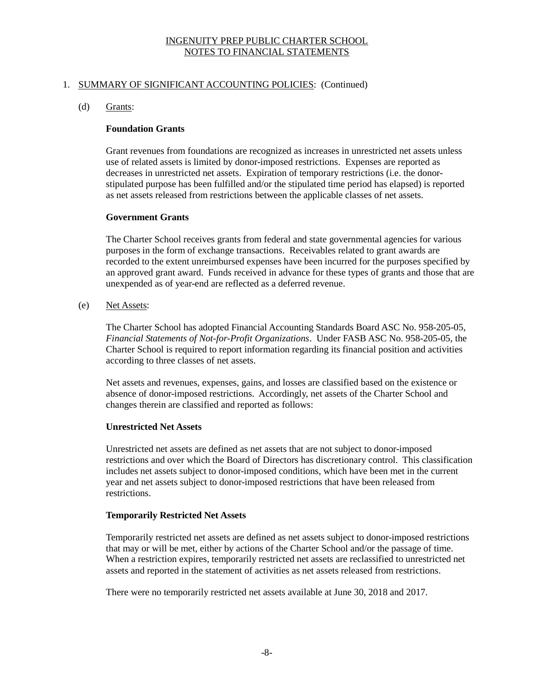# 1. SUMMARY OF SIGNIFICANT ACCOUNTING POLICIES: (Continued)

(d) Grants:

#### **Foundation Grants**

Grant revenues from foundations are recognized as increases in unrestricted net assets unless use of related assets is limited by donor-imposed restrictions. Expenses are reported as decreases in unrestricted net assets. Expiration of temporary restrictions (i.e. the donorstipulated purpose has been fulfilled and/or the stipulated time period has elapsed) is reported as net assets released from restrictions between the applicable classes of net assets.

#### **Government Grants**

The Charter School receives grants from federal and state governmental agencies for various purposes in the form of exchange transactions. Receivables related to grant awards are recorded to the extent unreimbursed expenses have been incurred for the purposes specified by an approved grant award. Funds received in advance for these types of grants and those that are unexpended as of year-end are reflected as a deferred revenue.

(e) Net Assets:

The Charter School has adopted Financial Accounting Standards Board ASC No. 958-205-05, *Financial Statements of Not-for-Profit Organizations*. Under FASB ASC No. 958-205-05, the Charter School is required to report information regarding its financial position and activities according to three classes of net assets.

Net assets and revenues, expenses, gains, and losses are classified based on the existence or absence of donor-imposed restrictions. Accordingly, net assets of the Charter School and changes therein are classified and reported as follows:

#### **Unrestricted Net Assets**

Unrestricted net assets are defined as net assets that are not subject to donor-imposed restrictions and over which the Board of Directors has discretionary control. This classification includes net assets subject to donor-imposed conditions, which have been met in the current year and net assets subject to donor-imposed restrictions that have been released from restrictions.

#### **Temporarily Restricted Net Assets**

Temporarily restricted net assets are defined as net assets subject to donor-imposed restrictions that may or will be met, either by actions of the Charter School and/or the passage of time. When a restriction expires, temporarily restricted net assets are reclassified to unrestricted net assets and reported in the statement of activities as net assets released from restrictions.

There were no temporarily restricted net assets available at June 30, 2018 and 2017.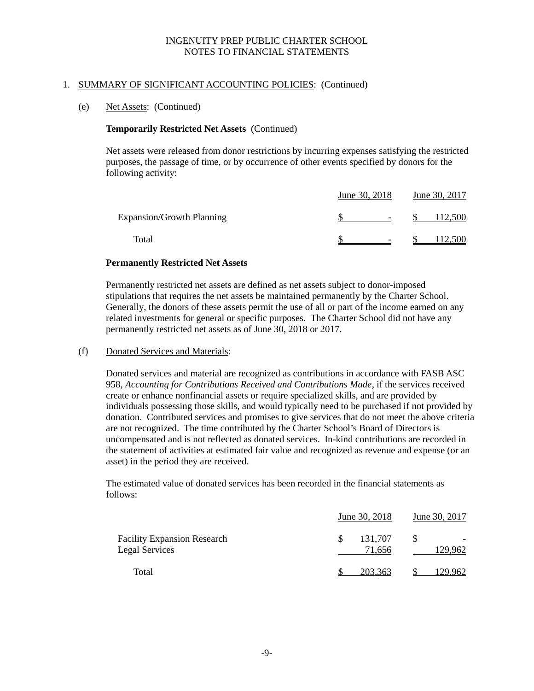#### 1. SUMMARY OF SIGNIFICANT ACCOUNTING POLICIES: (Continued)

(e) Net Assets: (Continued)

#### **Temporarily Restricted Net Assets** (Continued)

Net assets were released from donor restrictions by incurring expenses satisfying the restricted purposes, the passage of time, or by occurrence of other events specified by donors for the following activity:

|                                  | June 30, 2018            | June 30, 2017 |
|----------------------------------|--------------------------|---------------|
| <b>Expansion/Growth Planning</b> | $\overline{\phantom{a}}$ | 112,500       |
| Total                            | $\overline{\phantom{a}}$ | 112,500       |

#### **Permanently Restricted Net Assets**

Permanently restricted net assets are defined as net assets subject to donor-imposed stipulations that requires the net assets be maintained permanently by the Charter School. Generally, the donors of these assets permit the use of all or part of the income earned on any related investments for general or specific purposes. The Charter School did not have any permanently restricted net assets as of June 30, 2018 or 2017.

#### (f) Donated Services and Materials:

Donated services and material are recognized as contributions in accordance with FASB ASC 958, *Accounting for Contributions Received and Contributions Made*, if the services received create or enhance nonfinancial assets or require specialized skills, and are provided by individuals possessing those skills, and would typically need to be purchased if not provided by donation. Contributed services and promises to give services that do not meet the above criteria are not recognized. The time contributed by the Charter School's Board of Directors is uncompensated and is not reflected as donated services. In-kind contributions are recorded in the statement of activities at estimated fair value and recognized as revenue and expense (or an asset) in the period they are received.

The estimated value of donated services has been recorded in the financial statements as follows:

|                                                      | June 30, 2018     | June 30, 2017 |
|------------------------------------------------------|-------------------|---------------|
| <b>Facility Expansion Research</b><br>Legal Services | 131,707<br>71,656 | 129,962       |
| Total                                                | 203.363           | 129.962       |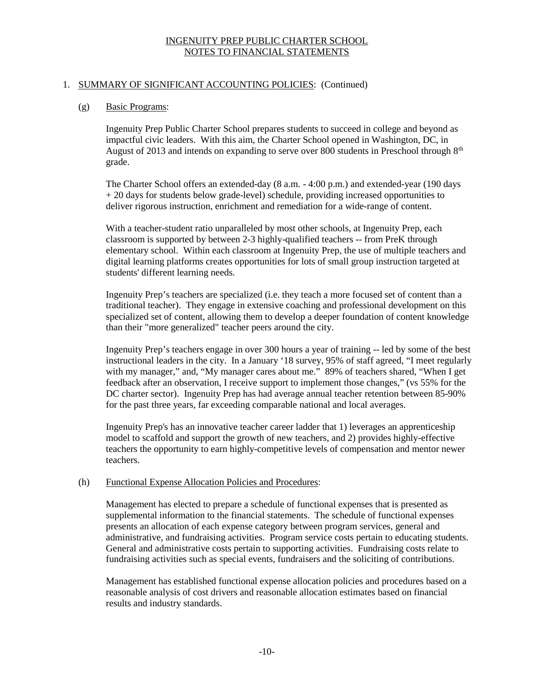#### 1. SUMMARY OF SIGNIFICANT ACCOUNTING POLICIES: (Continued)

#### (g) Basic Programs:

Ingenuity Prep Public Charter School prepares students to succeed in college and beyond as impactful civic leaders. With this aim, the Charter School opened in Washington, DC, in August of 2013 and intends on expanding to serve over 800 students in Preschool through 8<sup>th</sup> grade.

The Charter School offers an extended-day (8 a.m. - 4:00 p.m.) and extended-year (190 days + 20 days for students below grade-level) schedule, providing increased opportunities to deliver rigorous instruction, enrichment and remediation for a wide-range of content.

With a teacher-student ratio unparalleled by most other schools, at Ingenuity Prep, each classroom is supported by between 2-3 highly-qualified teachers -- from PreK through elementary school. Within each classroom at Ingenuity Prep, the use of multiple teachers and digital learning platforms creates opportunities for lots of small group instruction targeted at students' different learning needs.

Ingenuity Prep's teachers are specialized (i.e. they teach a more focused set of content than a traditional teacher). They engage in extensive coaching and professional development on this specialized set of content, allowing them to develop a deeper foundation of content knowledge than their "more generalized" teacher peers around the city.

Ingenuity Prep's teachers engage in over 300 hours a year of training -- led by some of the best instructional leaders in the city. In a January '18 survey, 95% of staff agreed, "I meet regularly with my manager," and, "My manager cares about me." 89% of teachers shared, "When I get feedback after an observation, I receive support to implement those changes," (vs 55% for the DC charter sector). Ingenuity Prep has had average annual teacher retention between 85-90% for the past three years, far exceeding comparable national and local averages.

Ingenuity Prep's has an innovative teacher career ladder that 1) leverages an apprenticeship model to scaffold and support the growth of new teachers, and 2) provides highly-effective teachers the opportunity to earn highly-competitive levels of compensation and mentor newer teachers.

#### (h) Functional Expense Allocation Policies and Procedures:

Management has elected to prepare a schedule of functional expenses that is presented as supplemental information to the financial statements. The schedule of functional expenses presents an allocation of each expense category between program services, general and administrative, and fundraising activities. Program service costs pertain to educating students. General and administrative costs pertain to supporting activities. Fundraising costs relate to fundraising activities such as special events, fundraisers and the soliciting of contributions.

Management has established functional expense allocation policies and procedures based on a reasonable analysis of cost drivers and reasonable allocation estimates based on financial results and industry standards.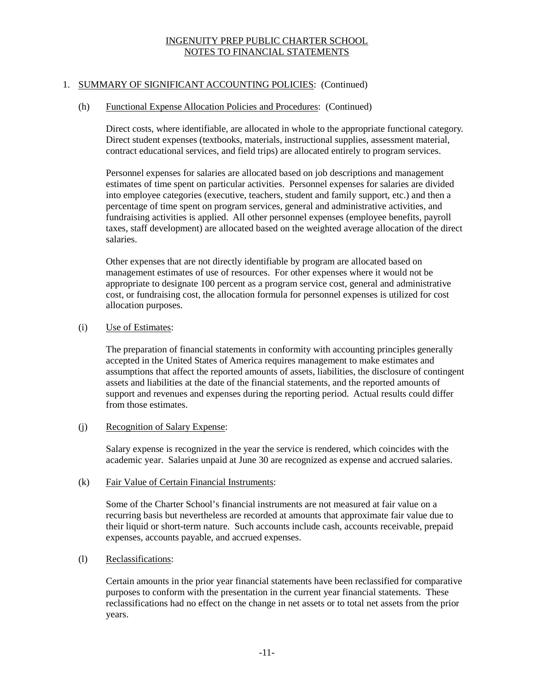# 1. SUMMARY OF SIGNIFICANT ACCOUNTING POLICIES: (Continued)

#### (h) Functional Expense Allocation Policies and Procedures: (Continued)

Direct costs, where identifiable, are allocated in whole to the appropriate functional category. Direct student expenses (textbooks, materials, instructional supplies, assessment material, contract educational services, and field trips) are allocated entirely to program services.

Personnel expenses for salaries are allocated based on job descriptions and management estimates of time spent on particular activities. Personnel expenses for salaries are divided into employee categories (executive, teachers, student and family support, etc.) and then a percentage of time spent on program services, general and administrative activities, and fundraising activities is applied. All other personnel expenses (employee benefits, payroll taxes, staff development) are allocated based on the weighted average allocation of the direct salaries.

Other expenses that are not directly identifiable by program are allocated based on management estimates of use of resources. For other expenses where it would not be appropriate to designate 100 percent as a program service cost, general and administrative cost, or fundraising cost, the allocation formula for personnel expenses is utilized for cost allocation purposes.

#### (i) Use of Estimates:

The preparation of financial statements in conformity with accounting principles generally accepted in the United States of America requires management to make estimates and assumptions that affect the reported amounts of assets, liabilities, the disclosure of contingent assets and liabilities at the date of the financial statements, and the reported amounts of support and revenues and expenses during the reporting period. Actual results could differ from those estimates.

#### (j) Recognition of Salary Expense:

Salary expense is recognized in the year the service is rendered, which coincides with the academic year. Salaries unpaid at June 30 are recognized as expense and accrued salaries.

#### (k) Fair Value of Certain Financial Instruments:

Some of the Charter School's financial instruments are not measured at fair value on a recurring basis but nevertheless are recorded at amounts that approximate fair value due to their liquid or short-term nature. Such accounts include cash, accounts receivable, prepaid expenses, accounts payable, and accrued expenses.

#### (l) Reclassifications:

Certain amounts in the prior year financial statements have been reclassified for comparative purposes to conform with the presentation in the current year financial statements. These reclassifications had no effect on the change in net assets or to total net assets from the prior years.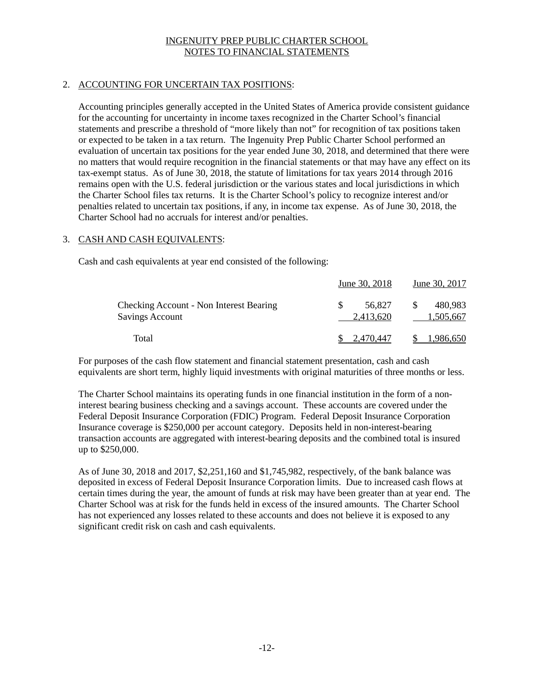# 2. ACCOUNTING FOR UNCERTAIN TAX POSITIONS:

Accounting principles generally accepted in the United States of America provide consistent guidance for the accounting for uncertainty in income taxes recognized in the Charter School's financial statements and prescribe a threshold of "more likely than not" for recognition of tax positions taken or expected to be taken in a tax return. The Ingenuity Prep Public Charter School performed an evaluation of uncertain tax positions for the year ended June 30, 2018, and determined that there were no matters that would require recognition in the financial statements or that may have any effect on its tax-exempt status. As of June 30, 2018, the statute of limitations for tax years 2014 through 2016 remains open with the U.S. federal jurisdiction or the various states and local jurisdictions in which the Charter School files tax returns. It is the Charter School's policy to recognize interest and/or penalties related to uncertain tax positions, if any, in income tax expense. As of June 30, 2018, the Charter School had no accruals for interest and/or penalties.

#### 3. CASH AND CASH EQUIVALENTS:

Cash and cash equivalents at year end consisted of the following:

|                                                            | June 30, 2018 | June 30, 2017 |                      |
|------------------------------------------------------------|---------------|---------------|----------------------|
| Checking Account - Non Interest Bearing<br>Savings Account | 2.413.620     | 56.827        | 480.983<br>1,505,667 |
| Total                                                      | 2.470.447     |               | 1,986,650            |

For purposes of the cash flow statement and financial statement presentation, cash and cash equivalents are short term, highly liquid investments with original maturities of three months or less.

The Charter School maintains its operating funds in one financial institution in the form of a noninterest bearing business checking and a savings account. These accounts are covered under the Federal Deposit Insurance Corporation (FDIC) Program. Federal Deposit Insurance Corporation Insurance coverage is \$250,000 per account category. Deposits held in non-interest-bearing transaction accounts are aggregated with interest-bearing deposits and the combined total is insured up to \$250,000.

As of June 30, 2018 and 2017, \$2,251,160 and \$1,745,982, respectively, of the bank balance was deposited in excess of Federal Deposit Insurance Corporation limits. Due to increased cash flows at certain times during the year, the amount of funds at risk may have been greater than at year end. The Charter School was at risk for the funds held in excess of the insured amounts. The Charter School has not experienced any losses related to these accounts and does not believe it is exposed to any significant credit risk on cash and cash equivalents.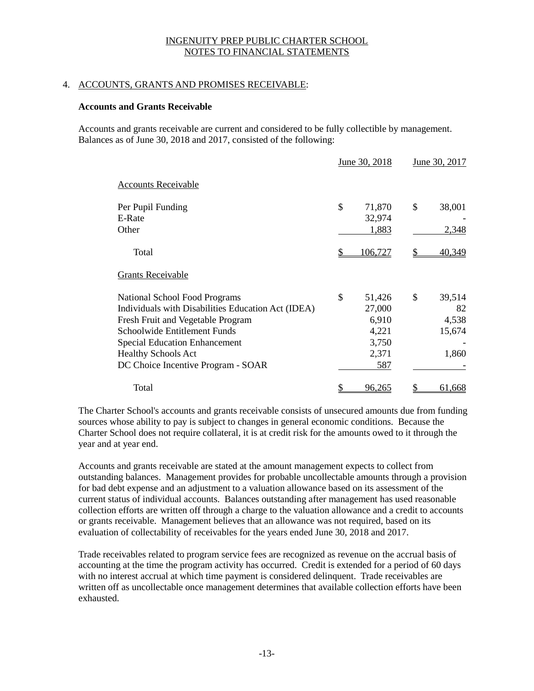# 4. ACCOUNTS, GRANTS AND PROMISES RECEIVABLE:

#### **Accounts and Grants Receivable**

Accounts and grants receivable are current and considered to be fully collectible by management. Balances as of June 30, 2018 and 2017, consisted of the following:

|                                                    | June 30, 2018 | June 30, 2017 |        |
|----------------------------------------------------|---------------|---------------|--------|
| <b>Accounts Receivable</b>                         |               |               |        |
| Per Pupil Funding                                  | \$<br>71,870  | \$            | 38,001 |
| E-Rate                                             | 32,974        |               |        |
| Other                                              | 1,883         |               | 2,348  |
| Total                                              | 106,727       |               | 40,349 |
| Grants Receivable                                  |               |               |        |
| National School Food Programs                      | \$<br>51,426  | \$            | 39,514 |
| Individuals with Disabilities Education Act (IDEA) | 27,000        |               | 82     |
| Fresh Fruit and Vegetable Program                  | 6,910         |               | 4,538  |
| Schoolwide Entitlement Funds                       | 4,221         |               | 15,674 |
| <b>Special Education Enhancement</b>               | 3,750         |               |        |
| <b>Healthy Schools Act</b>                         | 2,371         |               | 1,860  |
| DC Choice Incentive Program - SOAR                 | 587           |               |        |
| Total                                              | 96,265        |               | 61.668 |

The Charter School's accounts and grants receivable consists of unsecured amounts due from funding sources whose ability to pay is subject to changes in general economic conditions. Because the Charter School does not require collateral, it is at credit risk for the amounts owed to it through the year and at year end.

Accounts and grants receivable are stated at the amount management expects to collect from outstanding balances. Management provides for probable uncollectable amounts through a provision for bad debt expense and an adjustment to a valuation allowance based on its assessment of the current status of individual accounts. Balances outstanding after management has used reasonable collection efforts are written off through a charge to the valuation allowance and a credit to accounts or grants receivable. Management believes that an allowance was not required, based on its evaluation of collectability of receivables for the years ended June 30, 2018 and 2017.

Trade receivables related to program service fees are recognized as revenue on the accrual basis of accounting at the time the program activity has occurred. Credit is extended for a period of 60 days with no interest accrual at which time payment is considered delinquent. Trade receivables are written off as uncollectable once management determines that available collection efforts have been exhausted.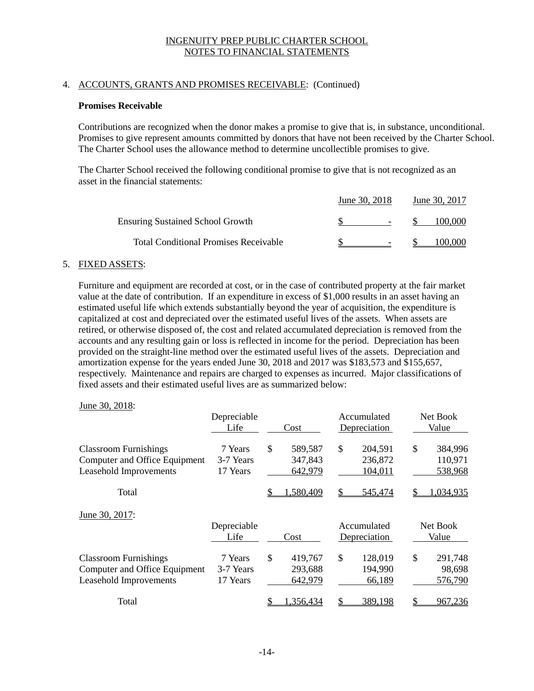#### 4. ACCOUNTS, GRANTS AND PROMISES RECEIVABLE: (Continued)

#### **Promises Receivable**

Contributions are recognized when the donor makes a promise to give that is, in substance, unconditional. Promises to give represent amounts committed by donors that have not been received by the Charter School. The Charter School uses the allowance method to determine uncollectible promises to give.

The Charter School received the following conditional promise to give that is not recognized as an asset in the financial statements:

|                                              | June 30, 2018            | June 30, 2017 |
|----------------------------------------------|--------------------------|---------------|
| <b>Ensuring Sustained School Growth</b>      | $\overline{\phantom{0}}$ | 100,000       |
| <b>Total Conditional Promises Receivable</b> | $\overline{\phantom{0}}$ |               |

#### 5. FIXED ASSETS:

Furniture and equipment are recorded at cost, or in the case of contributed property at the fair market value at the date of contribution. If an expenditure in excess of \$1,000 results in an asset having an estimated useful life which extends substantially beyond the year of acquisition, the expenditure is capitalized at cost and depreciated over the estimated useful lives of the assets. When assets are retired, or otherwise disposed of, the cost and related accumulated depreciation is removed from the accounts and any resulting gain or loss is reflected in income for the period. Depreciation has been provided on the straight-line method over the estimated useful lives of the assets. Depreciation and amortization expense for the years ended June 30, 2018 and 2017 was \$183,573 and \$155,657, respectively. Maintenance and repairs are charged to expenses as incurred. Major classifications of fixed assets and their estimated useful lives are as summarized below:

#### June 30, 2018:

|                                                                                         | Depreciable<br>Life              |           | Cost                          | Accumulated<br>Depreciation         | Net Book<br>Value                   |
|-----------------------------------------------------------------------------------------|----------------------------------|-----------|-------------------------------|-------------------------------------|-------------------------------------|
| <b>Classroom Furnishings</b><br>Computer and Office Equipment<br>Leasehold Improvements | 7 Years<br>3-7 Years<br>17 Years | \$        | 589,587<br>347,843<br>642,979 | \$<br>204,591<br>236,872<br>104,011 | \$<br>384,996<br>110,971<br>538,968 |
| Total                                                                                   |                                  | \$        | 1,580,409                     | \$<br>545,474                       | \$<br>,034,935                      |
| June 30, 2017:                                                                          | Depreciable<br>Life              |           | Cost                          | Accumulated<br>Depreciation         | Net Book<br>Value                   |
| <b>Classroom Furnishings</b><br>Computer and Office Equipment<br>Leasehold Improvements | 7 Years<br>3-7 Years<br>17 Years | \$        | 419,767<br>293,688<br>642,979 | \$<br>128,019<br>194,990<br>66,189  | \$<br>291,748<br>98,698<br>576,790  |
| Total                                                                                   |                                  | <u>\$</u> | 1,356,434                     | \$<br>389,198                       | 967,236                             |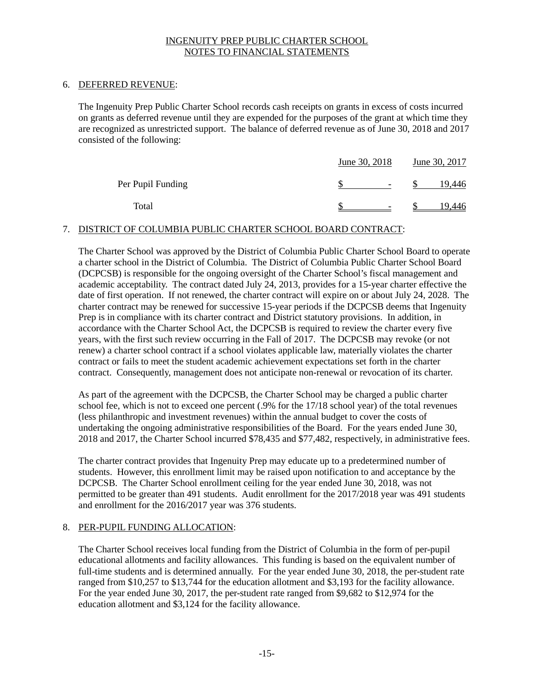#### 6. DEFERRED REVENUE:

The Ingenuity Prep Public Charter School records cash receipts on grants in excess of costs incurred on grants as deferred revenue until they are expended for the purposes of the grant at which time they are recognized as unrestricted support. The balance of deferred revenue as of June 30, 2018 and 2017 consisted of the following:

|                   | June 30, 2018            | June 30, 2017 |  |
|-------------------|--------------------------|---------------|--|
| Per Pupil Funding | $\overline{\phantom{a}}$ | 19,446        |  |
| Total             | $\overline{a}$           | 9.446         |  |

#### 7. DISTRICT OF COLUMBIA PUBLIC CHARTER SCHOOL BOARD CONTRACT:

The Charter School was approved by the District of Columbia Public Charter School Board to operate a charter school in the District of Columbia. The District of Columbia Public Charter School Board (DCPCSB) is responsible for the ongoing oversight of the Charter School's fiscal management and academic acceptability. The contract dated July 24, 2013, provides for a 15-year charter effective the date of first operation. If not renewed, the charter contract will expire on or about July 24, 2028. The charter contract may be renewed for successive 15-year periods if the DCPCSB deems that Ingenuity Prep is in compliance with its charter contract and District statutory provisions. In addition, in accordance with the Charter School Act, the DCPCSB is required to review the charter every five years, with the first such review occurring in the Fall of 2017. The DCPCSB may revoke (or not renew) a charter school contract if a school violates applicable law, materially violates the charter contract or fails to meet the student academic achievement expectations set forth in the charter contract. Consequently, management does not anticipate non-renewal or revocation of its charter.

As part of the agreement with the DCPCSB, the Charter School may be charged a public charter school fee, which is not to exceed one percent (.9% for the 17/18 school year) of the total revenues (less philanthropic and investment revenues) within the annual budget to cover the costs of undertaking the ongoing administrative responsibilities of the Board. For the years ended June 30, 2018 and 2017, the Charter School incurred \$78,435 and \$77,482, respectively, in administrative fees.

The charter contract provides that Ingenuity Prep may educate up to a predetermined number of students. However, this enrollment limit may be raised upon notification to and acceptance by the DCPCSB. The Charter School enrollment ceiling for the year ended June 30, 2018, was not permitted to be greater than 491 students. Audit enrollment for the 2017/2018 year was 491 students and enrollment for the 2016/2017 year was 376 students.

#### 8. PER-PUPIL FUNDING ALLOCATION:

The Charter School receives local funding from the District of Columbia in the form of per-pupil educational allotments and facility allowances. This funding is based on the equivalent number of full-time students and is determined annually. For the year ended June 30, 2018, the per-student rate ranged from \$10,257 to \$13,744 for the education allotment and \$3,193 for the facility allowance. For the year ended June 30, 2017, the per-student rate ranged from \$9,682 to \$12,974 for the education allotment and \$3,124 for the facility allowance.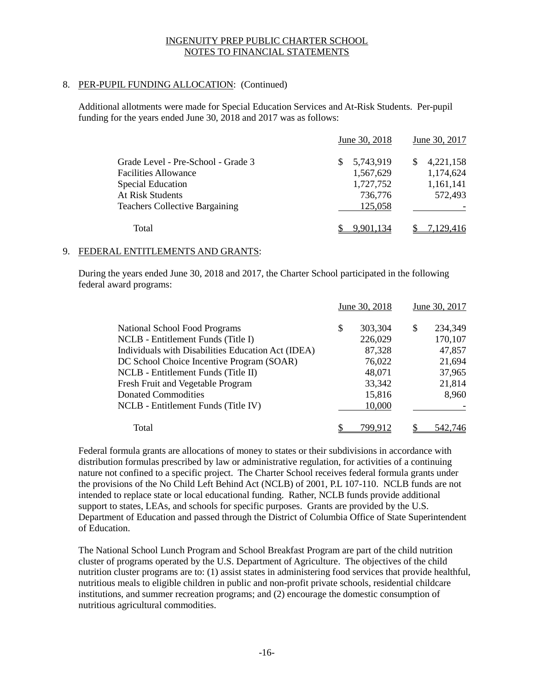### 8. PER-PUPIL FUNDING ALLOCATION: (Continued)

Additional allotments were made for Special Education Services and At-Risk Students. Per-pupil funding for the years ended June 30, 2018 and 2017 was as follows:

|                                       | June 30, 2018 | June 30, 2017 |
|---------------------------------------|---------------|---------------|
| Grade Level - Pre-School - Grade 3    | 5,743,919     | 4,221,158     |
| <b>Facilities Allowance</b>           | 1,567,629     | 1,174,624     |
| <b>Special Education</b>              | 1,727,752     | 1,161,141     |
| <b>At Risk Students</b>               | 736,776       | 572,493       |
| <b>Teachers Collective Bargaining</b> | 125,058       |               |
| Total                                 | 9.901.134     | 7.129.416     |

#### 9. FEDERAL ENTITLEMENTS AND GRANTS:

During the years ended June 30, 2018 and 2017, the Charter School participated in the following federal award programs:

|                                                    |   | June 30, 2018 | June 30, 2017 |
|----------------------------------------------------|---|---------------|---------------|
| National School Food Programs                      | S | 303,304       | \$<br>234,349 |
| NCLB - Entitlement Funds (Title I)                 |   | 226,029       | 170,107       |
| Individuals with Disabilities Education Act (IDEA) |   | 87,328        | 47,857        |
| DC School Choice Incentive Program (SOAR)          |   | 76,022        | 21,694        |
| NCLB - Entitlement Funds (Title II)                |   | 48,071        | 37,965        |
| Fresh Fruit and Vegetable Program                  |   | 33,342        | 21,814        |
| <b>Donated Commodities</b>                         |   | 15,816        | 8,960         |
| NCLB - Entitlement Funds (Title IV)                |   | 10,000        |               |
| Total                                              |   | 799,912       | 542.746       |

Federal formula grants are allocations of money to states or their subdivisions in accordance with distribution formulas prescribed by law or administrative regulation, for activities of a continuing nature not confined to a specific project. The Charter School receives federal formula grants under the provisions of the No Child Left Behind Act (NCLB) of 2001, P.L 107-110. NCLB funds are not intended to replace state or local educational funding. Rather, NCLB funds provide additional support to states, LEAs, and schools for specific purposes. Grants are provided by the U.S. Department of Education and passed through the District of Columbia Office of State Superintendent of Education.

The National School Lunch Program and School Breakfast Program are part of the child nutrition cluster of programs operated by the U.S. Department of Agriculture. The objectives of the child nutrition cluster programs are to: (1) assist states in administering food services that provide healthful, nutritious meals to eligible children in public and non-profit private schools, residential childcare institutions, and summer recreation programs; and (2) encourage the domestic consumption of nutritious agricultural commodities.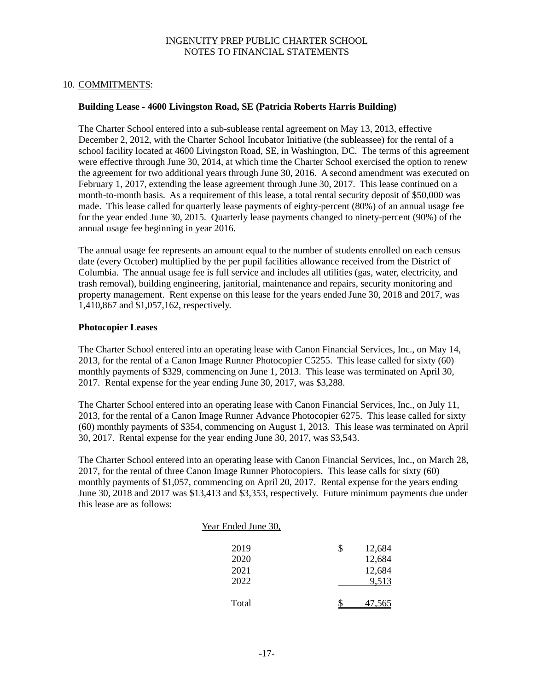#### 10. COMMITMENTS:

#### **Building Lease - 4600 Livingston Road, SE (Patricia Roberts Harris Building)**

The Charter School entered into a sub-sublease rental agreement on May 13, 2013, effective December 2, 2012, with the Charter School Incubator Initiative (the subleassee) for the rental of a school facility located at 4600 Livingston Road, SE, in Washington, DC. The terms of this agreement were effective through June 30, 2014, at which time the Charter School exercised the option to renew the agreement for two additional years through June 30, 2016. A second amendment was executed on February 1, 2017, extending the lease agreement through June 30, 2017. This lease continued on a month-to-month basis. As a requirement of this lease, a total rental security deposit of \$50,000 was made. This lease called for quarterly lease payments of eighty-percent (80%) of an annual usage fee for the year ended June 30, 2015. Quarterly lease payments changed to ninety-percent (90%) of the annual usage fee beginning in year 2016.

The annual usage fee represents an amount equal to the number of students enrolled on each census date (every October) multiplied by the per pupil facilities allowance received from the District of Columbia. The annual usage fee is full service and includes all utilities (gas, water, electricity, and trash removal), building engineering, janitorial, maintenance and repairs, security monitoring and property management. Rent expense on this lease for the years ended June 30, 2018 and 2017, was 1,410,867 and \$1,057,162, respectively.

#### **Photocopier Leases**

The Charter School entered into an operating lease with Canon Financial Services, Inc., on May 14, 2013, for the rental of a Canon Image Runner Photocopier C5255. This lease called for sixty (60) monthly payments of \$329, commencing on June 1, 2013. This lease was terminated on April 30, 2017. Rental expense for the year ending June 30, 2017, was \$3,288.

The Charter School entered into an operating lease with Canon Financial Services, Inc., on July 11, 2013, for the rental of a Canon Image Runner Advance Photocopier 6275. This lease called for sixty (60) monthly payments of \$354, commencing on August 1, 2013. This lease was terminated on April 30, 2017. Rental expense for the year ending June 30, 2017, was \$3,543.

The Charter School entered into an operating lease with Canon Financial Services, Inc., on March 28, 2017, for the rental of three Canon Image Runner Photocopiers. This lease calls for sixty (60) monthly payments of \$1,057, commencing on April 20, 2017. Rental expense for the years ending June 30, 2018 and 2017 was \$13,413 and \$3,353, respectively. Future minimum payments due under this lease are as follows:

| Year Ended June 30, |              |
|---------------------|--------------|
| 2019                | \$<br>12,684 |
| 2020                | 12,684       |
| 2021                | 12,684       |
| 2022                | 9,513        |
| Total               | 47.565       |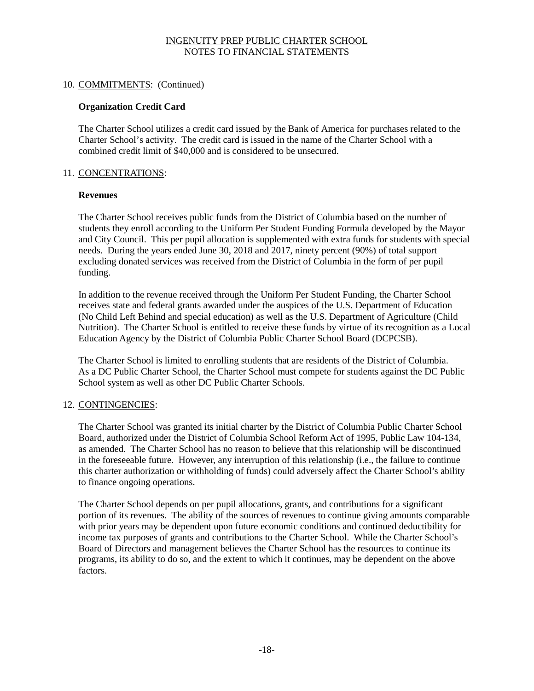# 10. COMMITMENTS: (Continued)

#### **Organization Credit Card**

The Charter School utilizes a credit card issued by the Bank of America for purchases related to the Charter School's activity. The credit card is issued in the name of the Charter School with a combined credit limit of \$40,000 and is considered to be unsecured.

#### 11. CONCENTRATIONS:

### **Revenues**

The Charter School receives public funds from the District of Columbia based on the number of students they enroll according to the Uniform Per Student Funding Formula developed by the Mayor and City Council. This per pupil allocation is supplemented with extra funds for students with special needs. During the years ended June 30, 2018 and 2017, ninety percent (90%) of total support excluding donated services was received from the District of Columbia in the form of per pupil funding.

In addition to the revenue received through the Uniform Per Student Funding, the Charter School receives state and federal grants awarded under the auspices of the U.S. Department of Education (No Child Left Behind and special education) as well as the U.S. Department of Agriculture (Child Nutrition). The Charter School is entitled to receive these funds by virtue of its recognition as a Local Education Agency by the District of Columbia Public Charter School Board (DCPCSB).

The Charter School is limited to enrolling students that are residents of the District of Columbia. As a DC Public Charter School, the Charter School must compete for students against the DC Public School system as well as other DC Public Charter Schools.

# 12. CONTINGENCIES:

The Charter School was granted its initial charter by the District of Columbia Public Charter School Board, authorized under the District of Columbia School Reform Act of 1995, Public Law 104-134, as amended. The Charter School has no reason to believe that this relationship will be discontinued in the foreseeable future. However, any interruption of this relationship (i.e., the failure to continue this charter authorization or withholding of funds) could adversely affect the Charter School's ability to finance ongoing operations.

The Charter School depends on per pupil allocations, grants, and contributions for a significant portion of its revenues. The ability of the sources of revenues to continue giving amounts comparable with prior years may be dependent upon future economic conditions and continued deductibility for income tax purposes of grants and contributions to the Charter School. While the Charter School's Board of Directors and management believes the Charter School has the resources to continue its programs, its ability to do so, and the extent to which it continues, may be dependent on the above factors.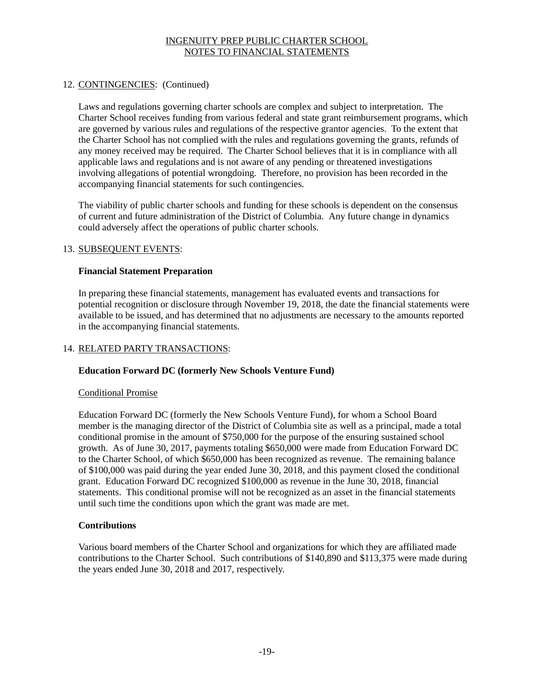# 12. CONTINGENCIES: (Continued)

Laws and regulations governing charter schools are complex and subject to interpretation. The Charter School receives funding from various federal and state grant reimbursement programs, which are governed by various rules and regulations of the respective grantor agencies. To the extent that the Charter School has not complied with the rules and regulations governing the grants, refunds of any money received may be required. The Charter School believes that it is in compliance with all applicable laws and regulations and is not aware of any pending or threatened investigations involving allegations of potential wrongdoing. Therefore, no provision has been recorded in the accompanying financial statements for such contingencies.

The viability of public charter schools and funding for these schools is dependent on the consensus of current and future administration of the District of Columbia. Any future change in dynamics could adversely affect the operations of public charter schools.

#### 13. SUBSEQUENT EVENTS:

#### **Financial Statement Preparation**

In preparing these financial statements, management has evaluated events and transactions for potential recognition or disclosure through November 19, 2018, the date the financial statements were available to be issued, and has determined that no adjustments are necessary to the amounts reported in the accompanying financial statements.

#### 14. RELATED PARTY TRANSACTIONS:

#### **Education Forward DC (formerly New Schools Venture Fund)**

#### Conditional Promise

Education Forward DC (formerly the New Schools Venture Fund), for whom a School Board member is the managing director of the District of Columbia site as well as a principal, made a total conditional promise in the amount of \$750,000 for the purpose of the ensuring sustained school growth. As of June 30, 2017, payments totaling \$650,000 were made from Education Forward DC to the Charter School, of which \$650,000 has been recognized as revenue. The remaining balance of \$100,000 was paid during the year ended June 30, 2018, and this payment closed the conditional grant. Education Forward DC recognized \$100,000 as revenue in the June 30, 2018, financial statements. This conditional promise will not be recognized as an asset in the financial statements until such time the conditions upon which the grant was made are met.

#### **Contributions**

Various board members of the Charter School and organizations for which they are affiliated made contributions to the Charter School. Such contributions of \$140,890 and \$113,375 were made during the years ended June 30, 2018 and 2017, respectively.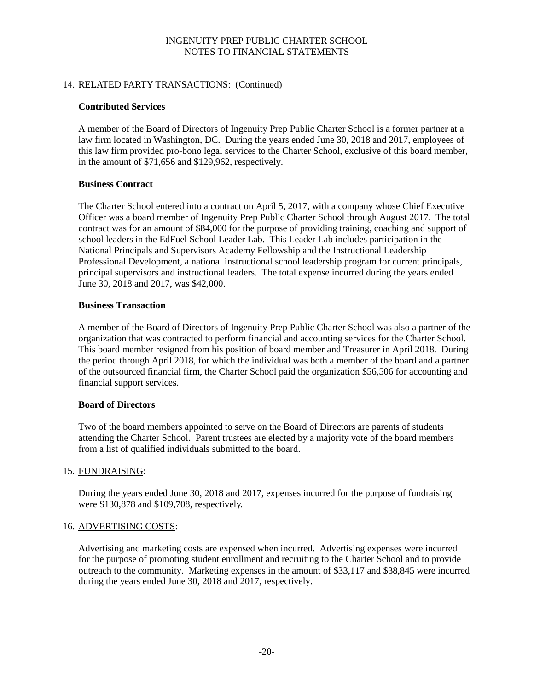# 14. RELATED PARTY TRANSACTIONS: (Continued)

#### **Contributed Services**

A member of the Board of Directors of Ingenuity Prep Public Charter School is a former partner at a law firm located in Washington, DC. During the years ended June 30, 2018 and 2017, employees of this law firm provided pro-bono legal services to the Charter School, exclusive of this board member, in the amount of \$71,656 and \$129,962, respectively.

#### **Business Contract**

The Charter School entered into a contract on April 5, 2017, with a company whose Chief Executive Officer was a board member of Ingenuity Prep Public Charter School through August 2017. The total contract was for an amount of \$84,000 for the purpose of providing training, coaching and support of school leaders in the EdFuel School Leader Lab. This Leader Lab includes participation in the National Principals and Supervisors Academy Fellowship and the Instructional Leadership Professional Development, a national instructional school leadership program for current principals, principal supervisors and instructional leaders. The total expense incurred during the years ended June 30, 2018 and 2017, was \$42,000.

#### **Business Transaction**

A member of the Board of Directors of Ingenuity Prep Public Charter School was also a partner of the organization that was contracted to perform financial and accounting services for the Charter School. This board member resigned from his position of board member and Treasurer in April 2018. During the period through April 2018, for which the individual was both a member of the board and a partner of the outsourced financial firm, the Charter School paid the organization \$56,506 for accounting and financial support services.

#### **Board of Directors**

Two of the board members appointed to serve on the Board of Directors are parents of students attending the Charter School. Parent trustees are elected by a majority vote of the board members from a list of qualified individuals submitted to the board.

#### 15. FUNDRAISING:

During the years ended June 30, 2018 and 2017, expenses incurred for the purpose of fundraising were \$130,878 and \$109,708, respectively.

#### 16. ADVERTISING COSTS:

Advertising and marketing costs are expensed when incurred. Advertising expenses were incurred for the purpose of promoting student enrollment and recruiting to the Charter School and to provide outreach to the community. Marketing expenses in the amount of \$33,117 and \$38,845 were incurred during the years ended June 30, 2018 and 2017, respectively.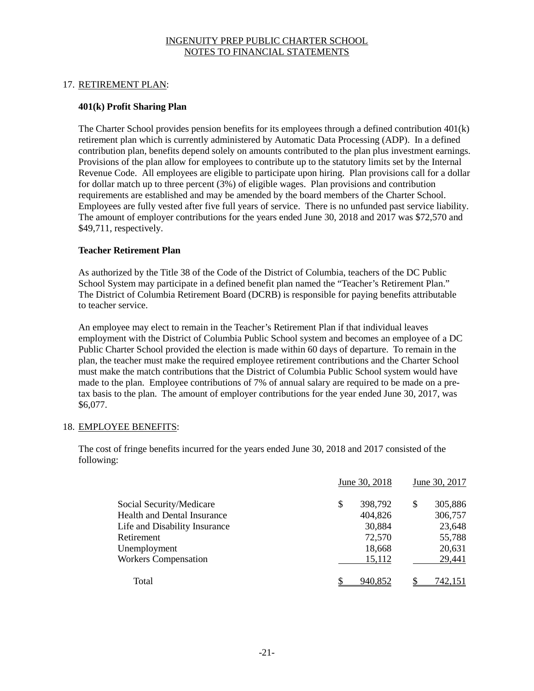#### 17. RETIREMENT PLAN:

#### **401(k) Profit Sharing Plan**

The Charter School provides pension benefits for its employees through a defined contribution 401(k) retirement plan which is currently administered by Automatic Data Processing (ADP). In a defined contribution plan, benefits depend solely on amounts contributed to the plan plus investment earnings. Provisions of the plan allow for employees to contribute up to the statutory limits set by the Internal Revenue Code. All employees are eligible to participate upon hiring. Plan provisions call for a dollar for dollar match up to three percent (3%) of eligible wages. Plan provisions and contribution requirements are established and may be amended by the board members of the Charter School. Employees are fully vested after five full years of service. There is no unfunded past service liability. The amount of employer contributions for the years ended June 30, 2018 and 2017 was \$72,570 and \$49,711, respectively.

### **Teacher Retirement Plan**

As authorized by the Title 38 of the Code of the District of Columbia, teachers of the DC Public School System may participate in a defined benefit plan named the "Teacher's Retirement Plan." The District of Columbia Retirement Board (DCRB) is responsible for paying benefits attributable to teacher service.

An employee may elect to remain in the Teacher's Retirement Plan if that individual leaves employment with the District of Columbia Public School system and becomes an employee of a DC Public Charter School provided the election is made within 60 days of departure. To remain in the plan, the teacher must make the required employee retirement contributions and the Charter School must make the match contributions that the District of Columbia Public School system would have made to the plan. Employee contributions of 7% of annual salary are required to be made on a pretax basis to the plan. The amount of employer contributions for the year ended June 30, 2017, was \$6,077.

#### 18. EMPLOYEE BENEFITS:

The cost of fringe benefits incurred for the years ended June 30, 2018 and 2017 consisted of the following:

|                                    | June 30, 2018 | June 30, 2017 |
|------------------------------------|---------------|---------------|
| Social Security/Medicare           | \$<br>398,792 | \$<br>305,886 |
| <b>Health and Dental Insurance</b> | 404,826       | 306,757       |
| Life and Disability Insurance      | 30,884        | 23,648        |
| Retirement                         | 72,570        | 55,788        |
| Unemployment                       | 18,668        | 20,631        |
| <b>Workers Compensation</b>        | 15,112        | 29,441        |
| Total                              |               |               |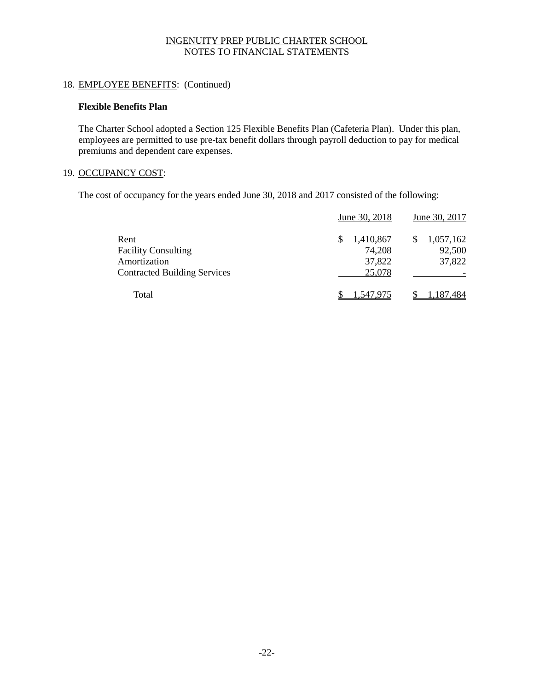#### 18. EMPLOYEE BENEFITS: (Continued)

# **Flexible Benefits Plan**

The Charter School adopted a Section 125 Flexible Benefits Plan (Cafeteria Plan). Under this plan, employees are permitted to use pre-tax benefit dollars through payroll deduction to pay for medical premiums and dependent care expenses.

# 19. OCCUPANCY COST:

The cost of occupancy for the years ended June 30, 2018 and 2017 consisted of the following:

|                                     | June 30, 2018 | <u>June 30, 2017</u> |
|-------------------------------------|---------------|----------------------|
| Rent                                | 1,410,867     | 1,057,162<br>S       |
| <b>Facility Consulting</b>          | 74,208        | 92,500               |
| Amortization                        | 37,822        | 37,822               |
| <b>Contracted Building Services</b> | 25,078        |                      |
| Total                               | 1,547,975     |                      |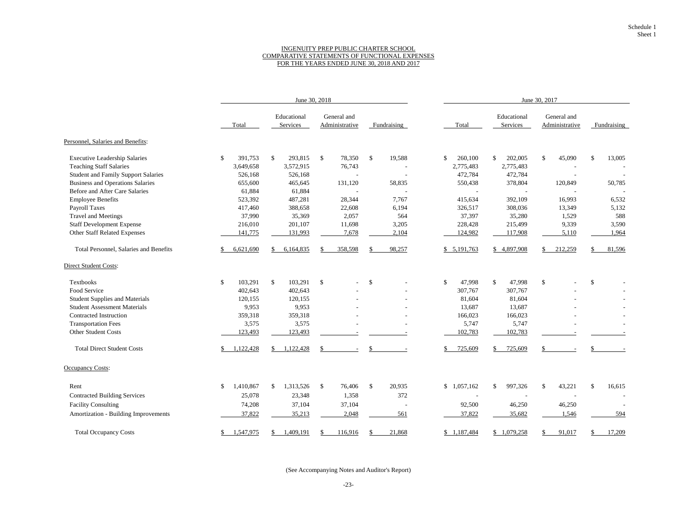#### INGENUITY PREP PUBLIC CHARTER SCHOOL COMPARATIVE STATEMENTS OF FUNCTIONAL EXPENSES FOR THE YEARS ENDED JUNE 30, 2018 AND 2017

|                                               |              | June 30, 2018 |                           |                         |                           |                               |                         |             |              | June 30, 2017 |               |                          |               |                               |    |             |  |  |
|-----------------------------------------------|--------------|---------------|---------------------------|-------------------------|---------------------------|-------------------------------|-------------------------|-------------|--------------|---------------|---------------|--------------------------|---------------|-------------------------------|----|-------------|--|--|
|                                               |              | Total         |                           | Educational<br>Services |                           | General and<br>Administrative |                         | Fundraising |              | Total         |               | Educational<br>Services  |               | General and<br>Administrative |    | Fundraising |  |  |
| Personnel, Salaries and Benefits:             |              |               |                           |                         |                           |                               |                         |             |              |               |               |                          |               |                               |    |             |  |  |
| <b>Executive Leadership Salaries</b>          | \$           | 391,753       | \$                        | 293,815                 | $\boldsymbol{\mathsf{S}}$ | 78,350                        | $\mathcal{S}$           | 19,588      | \$           | 260,100       | \$            | 202,005                  | $\frac{1}{2}$ | 45,090                        | \$ | 13,005      |  |  |
| <b>Teaching Staff Salaries</b>                |              | 3,649,658     |                           | 3,572,915               |                           | 76,743                        |                         |             |              | 2,775,483     |               | 2,775,483                |               |                               |    |             |  |  |
| <b>Student and Family Support Salaries</b>    |              | 526,168       |                           | 526,168                 |                           |                               |                         |             |              | 472,784       |               | 472,784                  |               |                               |    |             |  |  |
| <b>Business and Operations Salaries</b>       |              | 655,600       |                           | 465,645                 |                           | 131,120                       |                         | 58,835      |              | 550,438       |               | 378,804                  |               | 120,849                       |    | 50,785      |  |  |
| Before and After Care Salaries                |              | 61,884        |                           | 61,884                  |                           |                               |                         |             |              |               |               | $\overline{\phantom{a}}$ |               |                               |    |             |  |  |
| <b>Employee Benefits</b>                      |              | 523,392       |                           | 487,281                 |                           | 28,344                        |                         | 7,767       |              | 415,634       |               | 392,109                  |               | 16,993                        |    | 6,532       |  |  |
| Payroll Taxes                                 |              | 417,460       |                           | 388,658                 |                           | 22,608                        |                         | 6,194       |              | 326,517       |               | 308,036                  |               | 13,349                        |    | 5,132       |  |  |
| <b>Travel and Meetings</b>                    |              | 37,990        |                           | 35,369                  |                           | 2,057                         |                         | 564         |              | 37,397        |               | 35,280                   |               | 1,529                         |    | 588         |  |  |
| <b>Staff Development Expense</b>              |              | 216,010       |                           | 201,107                 |                           | 11,698                        |                         | 3,205       |              | 228,428       |               | 215,499                  |               | 9,339                         |    | 3,590       |  |  |
| <b>Other Staff Related Expenses</b>           |              | 141,775       |                           | 131,993                 |                           | 7,678                         |                         | 2,104       |              | 124,982       |               | 117,908                  |               | 5,110                         |    | 1,964       |  |  |
| <b>Total Personnel, Salaries and Benefits</b> | \$           | 6,621,690     | -S                        | 6,164,835               |                           | 358,598                       |                         | 98,257      |              | \$5,191,763   |               | \$4,897,908              | \$            | 212,259                       |    | 81,596      |  |  |
| <b>Direct Student Costs:</b>                  |              |               |                           |                         |                           |                               |                         |             |              |               |               |                          |               |                               |    |             |  |  |
| Textbooks                                     | \$           | 103,291       | $\mathcal{S}$             | 103,291                 | $\boldsymbol{\mathsf{S}}$ |                               | $\mathcal{S}$           |             | $\mathbb{S}$ | 47,998        | $\mathcal{S}$ | 47,998                   | $\mathcal{S}$ |                               | \$ |             |  |  |
| Food Service                                  |              | 402,643       |                           | 402,643                 |                           |                               |                         |             |              | 307,767       |               | 307,767                  |               |                               |    |             |  |  |
| <b>Student Supplies and Materials</b>         |              | 120,155       |                           | 120,155                 |                           |                               |                         |             |              | 81,604        |               | 81,604                   |               |                               |    |             |  |  |
| <b>Student Assessment Materials</b>           |              | 9,953         |                           | 9,953                   |                           |                               |                         |             |              | 13,687        |               | 13,687                   |               |                               |    |             |  |  |
| Contracted Instruction                        |              | 359,318       |                           | 359,318                 |                           |                               |                         |             |              | 166,023       |               | 166,023                  |               |                               |    |             |  |  |
| <b>Transportation Fees</b>                    |              | 3,575         |                           | 3,575                   |                           |                               |                         |             |              | 5,747         |               | 5,747                    |               |                               |    |             |  |  |
| Other Student Costs                           |              | 123,493       |                           | 123,493                 |                           |                               |                         |             |              | 102,783       |               | 102,783                  |               |                               |    |             |  |  |
| <b>Total Direct Student Costs</b>             |              | 1,122,428     | £.                        | 1,122,428               |                           |                               |                         |             | \$           | 725,609       | S.            | 725,609                  |               |                               |    |             |  |  |
| <b>Occupancy Costs:</b>                       |              |               |                           |                         |                           |                               |                         |             |              |               |               |                          |               |                               |    |             |  |  |
| Rent                                          | \$           | 1,410,867     | $\boldsymbol{\mathsf{S}}$ | 1,313,526               | \$                        | 76,406                        | $\sqrt[6]{\frac{1}{2}}$ | 20,935      |              | \$1,057,162   | \$            | 997,326                  | \$            | 43,221                        | \$ | 16,615      |  |  |
| <b>Contracted Building Services</b>           |              | 25,078        |                           | 23,348                  |                           | 1,358                         |                         | 372         |              |               |               |                          |               |                               |    |             |  |  |
| <b>Facility Consulting</b>                    |              | 74,208        |                           | 37,104                  |                           | 37,104                        |                         |             |              | 92,500        |               | 46,250                   |               | 46,250                        |    |             |  |  |
|                                               |              |               |                           |                         |                           |                               |                         |             |              |               |               |                          |               |                               |    |             |  |  |
| Amortization - Building Improvements          |              | 37,822        |                           | 35,213                  |                           | 2,048                         |                         | 561         |              | 37,822        |               | 35,682                   |               | 1,546                         |    | 594         |  |  |
| <b>Total Occupancy Costs</b>                  | $\mathbb{S}$ | 1,547,975     | -S                        | 1,409,191               |                           | 116,916                       |                         | 21,868      |              | \$1,187,484   |               | \$1,079,258              | S.            | 91,017                        |    | 17,209      |  |  |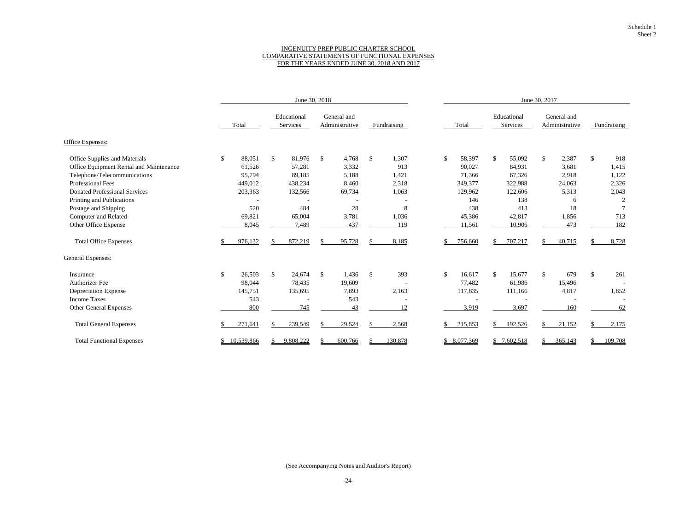#### INGENUITY PREP PUBLIC CHARTER SCHOOL COMPARATIVE STATEMENTS OF FUNCTIONAL EXPENSES FOR THE YEARS ENDED JUNE 30, 2018 AND 2017

|                                         |              |               | June 30, 2018           |              |                               |             | June 30, 2017 |             |               |                         |              |                               |               |             |  |  |
|-----------------------------------------|--------------|---------------|-------------------------|--------------|-------------------------------|-------------|---------------|-------------|---------------|-------------------------|--------------|-------------------------------|---------------|-------------|--|--|
|                                         | Total        |               | Educational<br>Services |              | General and<br>Administrative | Fundraising |               | Total       |               | Educational<br>Services |              | General and<br>Administrative |               | Fundraising |  |  |
| Office Expenses:                        |              |               |                         |              |                               |             |               |             |               |                         |              |                               |               |             |  |  |
| Office Supplies and Materials           | \$<br>88,051 | $\mathbb{S}$  | 81,976                  | $\mathbb{S}$ | 4,768                         | \$<br>1,307 | <sup>\$</sup> | 58,397      | <sup>\$</sup> | 55,092                  | \$           | 2,387                         | $\mathcal{S}$ | 918         |  |  |
| Office Equipment Rental and Maintenance | 61,526       |               | 57,281                  |              | 3,332                         | 913         |               | 90,027      |               | 84,931                  |              | 3,681                         |               | 1,415       |  |  |
| Telephone/Telecommunications            | 95,794       |               | 89,185                  |              | 5,188                         | 1,421       |               | 71,366      |               | 67,326                  |              | 2,918                         |               | 1,122       |  |  |
| Professional Fees                       | 449,012      |               | 438,234                 |              | 8,460                         | 2,318       |               | 349,377     |               | 322,988                 |              | 24,063                        |               | 2,326       |  |  |
| <b>Donated Professional Services</b>    | 203,363      |               | 132,566                 |              | 69,734                        | 1,063       |               | 129,962     |               | 122,606                 |              | 5,313                         |               | 2,043       |  |  |
| Printing and Publications               |              |               |                         |              |                               |             |               | 146         |               | 138                     |              | 6                             |               |             |  |  |
| Postage and Shipping                    | 520          |               | 484                     |              | 28                            | 8           |               | 438         |               | 413                     |              | 18                            |               | $\tau$      |  |  |
| Computer and Related                    | 69,821       |               | 65,004                  |              | 3,781                         | 1,036       |               | 45,386      |               | 42,817                  |              | 1,856                         |               | 713         |  |  |
| Other Office Expense                    | 8,045        |               | 7,489                   |              | 437                           | 119         |               | 11,561      |               | 10,906                  |              | 473                           |               | 182         |  |  |
| <b>Total Office Expenses</b>            | 976,132      |               | 872,219                 |              | 95,728                        | 8,185       |               | 756,660     |               | 707,217                 |              | 40,715                        |               | 8,728       |  |  |
| <b>General Expenses:</b>                |              |               |                         |              |                               |             |               |             |               |                         |              |                               |               |             |  |  |
| Insurance                               | \$<br>26,503 | $\mathcal{L}$ | 24,674                  | $\mathbb{S}$ | 1,436                         | \$<br>393   | $\mathbb{S}$  | 16,617      | \$            | 15,677                  | $\mathbb{S}$ | 679                           | $\mathcal{L}$ | 261         |  |  |
| Authorizer Fee                          | 98,044       |               | 78,435                  |              | 19,609                        |             |               | 77,482      |               | 61,986                  |              | 15,496                        |               |             |  |  |
| Depreciation Expense                    | 145,751      |               | 135,695                 |              | 7,893                         | 2,163       |               | 117,835     |               | 111,166                 |              | 4,817                         |               | 1,852       |  |  |
| <b>Income Taxes</b>                     | 543          |               |                         |              | 543                           |             |               |             |               |                         |              |                               |               |             |  |  |
| Other General Expenses                  | 800          |               | 745                     |              | 43                            | 12          |               | 3,919       |               | 3,697                   |              | 160                           |               | 62          |  |  |
| <b>Total General Expenses</b>           | 271,641      |               | 239,549                 |              | 29,524                        | 2,568       |               | 215,853     | \$            | 192,526                 |              | 21,152                        |               | 2,175       |  |  |
| <b>Total Functional Expenses</b>        | \$10,539,866 |               | 9,808,222               |              | 600,766                       | 130,878     |               | \$8,077,369 |               | \$7,602,518             |              | 365,143                       | \$            | 109,708     |  |  |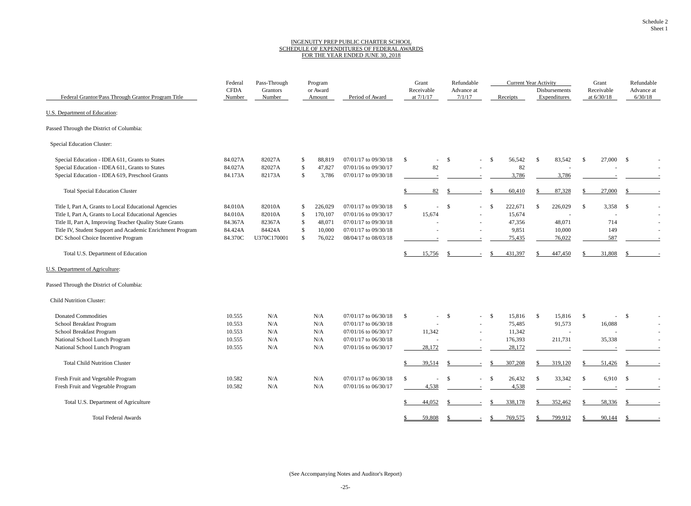#### INGENUITY PREP PUBLIC CHARTER SCHOOL SCHEDULE OF EXPENDITURES OF FEDERAL AWARDS FOR THE YEAR ENDED JUNE 30, 2018

|                                                           | Federal                      | Pass-Through |               | Program  |                          |      | Grant       |              | Refundable               |      | <b>Current Year Activity</b> |     |                          |               | Grant        | Refundable |         |
|-----------------------------------------------------------|------------------------------|--------------|---------------|----------|--------------------------|------|-------------|--------------|--------------------------|------|------------------------------|-----|--------------------------|---------------|--------------|------------|---------|
|                                                           | $\ensuremath{\mathsf{CFDA}}$ | Grantors     |               | or Award |                          |      | Receivable  |              | Advance at               |      |                              |     | Disbursements            |               | Receivable   | Advance at |         |
| Federal Grantor/Pass Through Grantor Program Title        | Number                       | Number       |               | Amount   | Period of Award          |      | at $7/1/17$ |              | 7/1/17                   |      | Receipts                     |     | Expenditures             |               | at $6/30/18$ |            | 6/30/18 |
| U.S. Department of Education:                             |                              |              |               |          |                          |      |             |              |                          |      |                              |     |                          |               |              |            |         |
| Passed Through the District of Columbia:                  |                              |              |               |          |                          |      |             |              |                          |      |                              |     |                          |               |              |            |         |
| <b>Special Education Cluster:</b>                         |                              |              |               |          |                          |      |             |              |                          |      |                              |     |                          |               |              |            |         |
| Special Education - IDEA 611, Grants to States            | 84.027A                      | 82027A       | $\mathcal{S}$ | 88,819   | 07/01/17 to 09/30/18     | -\$  |             | -S           |                          | - \$ | 56,542                       | -\$ | 83,542                   | \$            | 27,000 \$    |            |         |
| Special Education - IDEA 611, Grants to States            | 84.027A                      | 82027A       | $\mathcal{S}$ | 47,827   | 07/01/16 to 09/30/17     |      | 82          |              |                          |      | 82                           |     |                          |               |              |            |         |
| Special Education - IDEA 619, Preschool Grants            | 84.173A                      | 82173A       | \$            | 3,786    | 07/01/17 to 09/30/18     |      |             |              |                          |      | 3,786                        |     | 3,786                    |               |              |            |         |
| <b>Total Special Education Cluster</b>                    |                              |              |               |          |                          |      | 82          |              |                          | £.   | 60,410                       |     | 87,328                   | <sup>\$</sup> | 27,000       |            |         |
| Title I, Part A, Grants to Local Educational Agencies     | 84.010A                      | 82010A       | -\$           | 226,029  | 07/01/17 to 09/30/18     | -S   |             | - \$         | $-5$                     |      | 222,671                      | -\$ | 226,029                  | \$            | $3,358$ \$   |            |         |
| Title I, Part A, Grants to Local Educational Agencies     | 84.010A                      | 82010A       | $\mathcal{S}$ | 170,107  | 07/01/16 to 09/30/17     |      | 15,674      |              |                          |      | 15,674                       |     |                          |               |              |            |         |
| Title II, Part A, Improving Teacher Quality State Grants  | 84.367A                      | 82367A       | $\mathcal{S}$ | 48,071   | 07/01/17 to 09/30/18     |      |             |              | $\overline{\phantom{a}}$ |      | 47,356                       |     | 48,071                   |               | 714          |            |         |
| Title IV, Student Support and Academic Enrichment Program | 84.424A                      | 84424A       | $\mathcal{S}$ | 10,000   | 07/01/17 to 09/30/18     |      |             |              |                          |      | 9,851                        |     | 10,000                   |               | 149          |            |         |
| DC School Choice Incentive Program                        | 84.370C                      | U370C170001  | $\mathcal{S}$ | 76,022   | 08/04/17 to 08/03/18     |      |             |              |                          |      | 75,435                       |     | 76,022                   |               | 587          |            |         |
|                                                           |                              |              |               |          |                          |      |             |              |                          |      |                              |     |                          |               |              |            |         |
| Total U.S. Department of Education                        |                              |              |               |          |                          |      | 15,756      |              |                          |      | 431,397                      |     | 447,450                  |               | 31,808       |            |         |
| <b>U.S. Department of Agriculture:</b>                    |                              |              |               |          |                          |      |             |              |                          |      |                              |     |                          |               |              |            |         |
| Passed Through the District of Columbia:                  |                              |              |               |          |                          |      |             |              |                          |      |                              |     |                          |               |              |            |         |
| Child Nutrition Cluster:                                  |                              |              |               |          |                          |      |             |              |                          |      |                              |     |                          |               |              |            |         |
| <b>Donated Commodities</b>                                | 10.555                       | N/A          |               | N/A      | 07/01/17 to 06/30/18     | - S  | $\sim$      | $\mathbf{s}$ | $-5$                     |      | 15,816                       | -\$ | 15,816                   | - \$          |              | $-$ \$     |         |
| School Breakfast Program                                  | 10.553                       | N/A          |               | N/A      | $07/01/17$ to $06/30/18$ |      |             |              | $\overline{\phantom{a}}$ |      | 75,485                       |     | 91,573                   |               | 16,088       |            |         |
| School Breakfast Program                                  | 10.553                       | N/A          |               | N/A      | 07/01/16 to 06/30/17     |      | 11,342      |              | $\overline{\phantom{a}}$ |      | 11,342                       |     | $\overline{\phantom{a}}$ |               |              |            |         |
| National School Lunch Program                             | 10.555                       | N/A          |               | N/A      | $07/01/17$ to $06/30/18$ |      |             |              | $\overline{\phantom{a}}$ |      | 176,393                      |     | 211,731                  |               | 35,338       |            |         |
| National School Lunch Program                             | 10.555                       | N/A          |               | N/A      | 07/01/16 to 06/30/17     |      | 28,172      |              |                          |      | 28,172                       |     |                          |               |              |            |         |
| <b>Total Child Nutrition Cluster</b>                      |                              |              |               |          |                          |      | 39,514      |              |                          | -S   | 307,208                      |     | 319,120                  | £.            | 51,426       |            |         |
| Fresh Fruit and Vegetable Program                         | 10.582                       | N/A          |               | N/A      | 07/01/17 to 06/30/18     | - \$ |             | $-5$         | $-$ \$                   |      | 26,432                       | -S  | 33,342                   | - \$          | $6,910$ \$   |            |         |
| Fresh Fruit and Vegetable Program                         | 10.582                       | N/A          |               | N/A      | 07/01/16 to 06/30/17     |      | 4,538       |              |                          |      | 4,538                        |     |                          |               |              |            |         |
|                                                           |                              |              |               |          |                          |      |             |              |                          |      |                              |     |                          |               |              |            |         |
| Total U.S. Department of Agriculture                      |                              |              |               |          |                          |      | 44,052      |              |                          |      | 338,178                      |     | 352,462                  | \$.           | 58,336       |            |         |
| <b>Total Federal Awards</b>                               |                              |              |               |          |                          |      | 59,808      |              |                          | \$   | 769,575                      | S   | 799,912                  |               | 90,144       |            |         |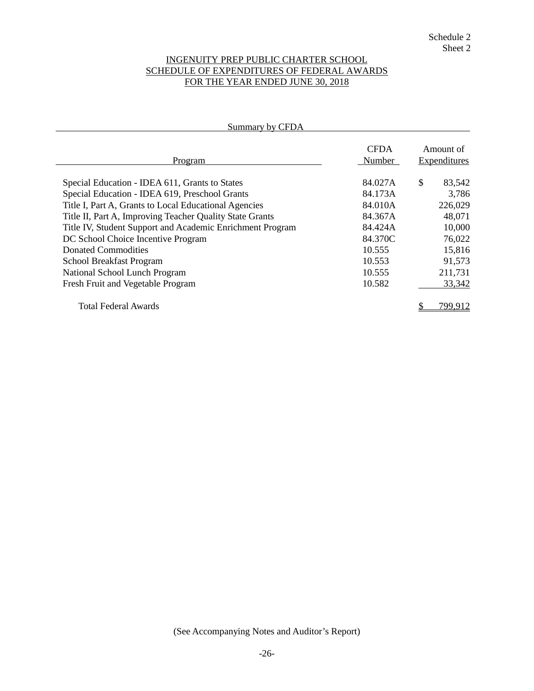# INGENUITY PREP PUBLIC CHARTER SCHOOL SCHEDULE OF EXPENDITURES OF FEDERAL AWARDS FOR THE YEAR ENDED JUNE 30, 2018

| Summary by CFDA                                           |                       |                           |
|-----------------------------------------------------------|-----------------------|---------------------------|
| Program                                                   | <b>CFDA</b><br>Number | Amount of<br>Expenditures |
| Special Education - IDEA 611, Grants to States            | 84.027A               | \$<br>83,542              |
| Special Education - IDEA 619, Preschool Grants            | 84.173A               | 3,786                     |
| Title I, Part A, Grants to Local Educational Agencies     | 84.010A               | 226,029                   |
| Title II, Part A, Improving Teacher Quality State Grants  | 84.367A               | 48,071                    |
| Title IV, Student Support and Academic Enrichment Program | 84.424A               | 10,000                    |
| DC School Choice Incentive Program                        | 84.370C               | 76,022                    |
| Donated Commodities                                       | 10.555                | 15,816                    |
| School Breakfast Program                                  | 10.553                | 91,573                    |
| National School Lunch Program                             | 10.555                | 211,731                   |
| Fresh Fruit and Vegetable Program                         | 10.582                | 33,342                    |
| Total Federal Awards                                      |                       | 799 91                    |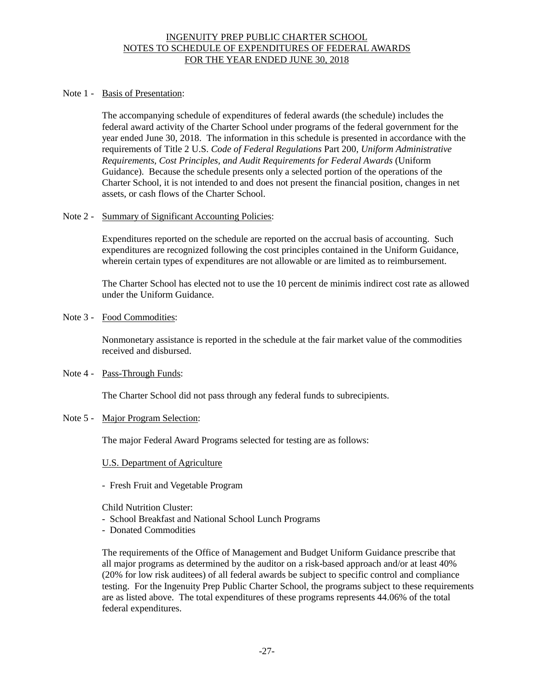#### INGENUITY PREP PUBLIC CHARTER SCHOOL NOTES TO SCHEDULE OF EXPENDITURES OF FEDERAL AWARDS FOR THE YEAR ENDED JUNE 30, 2018

#### Note 1 - Basis of Presentation:

The accompanying schedule of expenditures of federal awards (the schedule) includes the federal award activity of the Charter School under programs of the federal government for the year ended June 30, 2018. The information in this schedule is presented in accordance with the requirements of Title 2 U.S. *Code of Federal Regulations* Part 200, *Uniform Administrative Requirements, Cost Principles, and Audit Requirements for Federal Awards* (Uniform Guidance). Because the schedule presents only a selected portion of the operations of the Charter School, it is not intended to and does not present the financial position, changes in net assets, or cash flows of the Charter School.

#### Note 2 - Summary of Significant Accounting Policies:

Expenditures reported on the schedule are reported on the accrual basis of accounting. Such expenditures are recognized following the cost principles contained in the Uniform Guidance, wherein certain types of expenditures are not allowable or are limited as to reimbursement.

The Charter School has elected not to use the 10 percent de minimis indirect cost rate as allowed under the Uniform Guidance.

# Note 3 - Food Commodities:

Nonmonetary assistance is reported in the schedule at the fair market value of the commodities received and disbursed.

#### Note 4 - Pass-Through Funds:

The Charter School did not pass through any federal funds to subrecipients.

#### Note 5 - Major Program Selection:

The major Federal Award Programs selected for testing are as follows:

#### U.S. Department of Agriculture

- Fresh Fruit and Vegetable Program

Child Nutrition Cluster:

- School Breakfast and National School Lunch Programs
- Donated Commodities

The requirements of the Office of Management and Budget Uniform Guidance prescribe that all major programs as determined by the auditor on a risk-based approach and/or at least 40% (20% for low risk auditees) of all federal awards be subject to specific control and compliance testing. For the Ingenuity Prep Public Charter School, the programs subject to these requirements are as listed above. The total expenditures of these programs represents 44.06% of the total federal expenditures.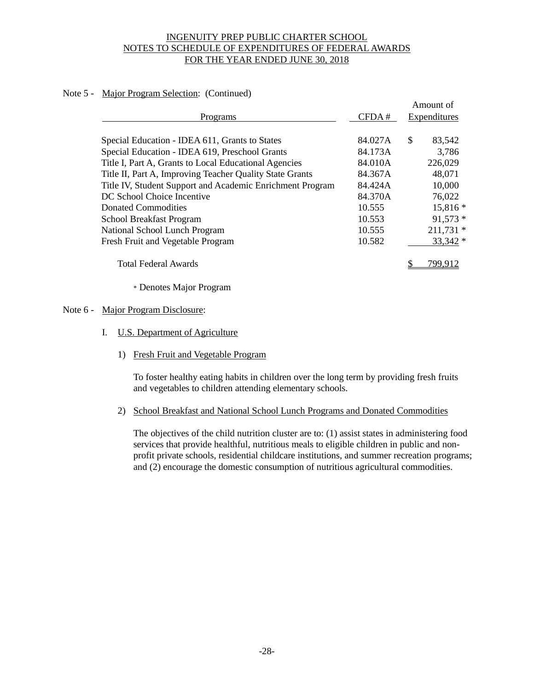#### INGENUITY PREP PUBLIC CHARTER SCHOOL NOTES TO SCHEDULE OF EXPENDITURES OF FEDERAL AWARDS FOR THE YEAR ENDED JUNE 30, 2018

#### Note 5 - Major Program Selection: (Continued)

|                                                           |         | Amount of    |
|-----------------------------------------------------------|---------|--------------|
| Programs                                                  | CFDA#   | Expenditures |
|                                                           |         |              |
| Special Education - IDEA 611, Grants to States            | 84.027A | \$<br>83,542 |
| Special Education - IDEA 619, Preschool Grants            | 84.173A | 3,786        |
| Title I, Part A, Grants to Local Educational Agencies     | 84.010A | 226,029      |
| Title II, Part A, Improving Teacher Quality State Grants  | 84.367A | 48,071       |
| Title IV, Student Support and Academic Enrichment Program | 84.424A | 10,000       |
| DC School Choice Incentive                                | 84.370A | 76,022       |
| Donated Commodities                                       | 10.555  | $15,816*$    |
| School Breakfast Program                                  | 10.553  | $91,573*$    |
| National School Lunch Program                             | 10.555  | $211,731*$   |
| Fresh Fruit and Vegetable Program                         | 10.582  | $33,342*$    |
| <b>Total Federal Awards</b>                               |         |              |

\* Denotes Major Program

#### Note 6 - Major Program Disclosure:

- I. U.S. Department of Agriculture
	- 1) Fresh Fruit and Vegetable Program

To foster healthy eating habits in children over the long term by providing fresh fruits and vegetables to children attending elementary schools.

2) School Breakfast and National School Lunch Programs and Donated Commodities

The objectives of the child nutrition cluster are to: (1) assist states in administering food services that provide healthful, nutritious meals to eligible children in public and nonprofit private schools, residential childcare institutions, and summer recreation programs; and (2) encourage the domestic consumption of nutritious agricultural commodities.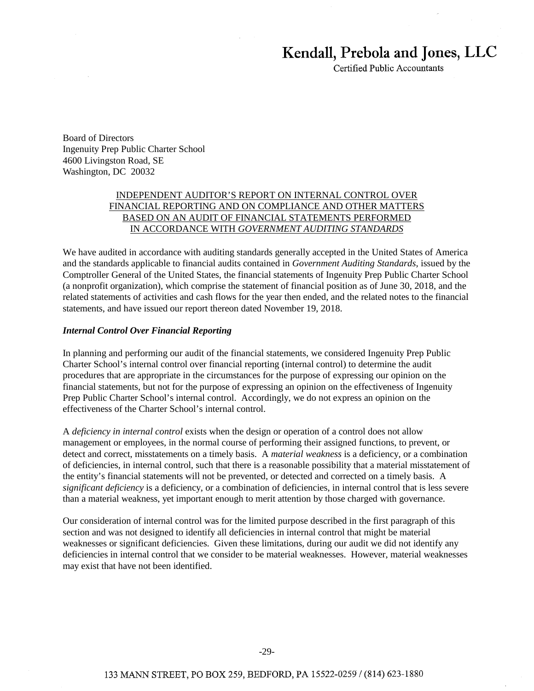# **Kendall, Prebola and Jones, LLC**

Certified Public Accountants

Board of Directors Ingenuity Prep Public Charter School 4600 Livingston Road, SE Washington, DC 20032

# INDEPENDENT AUDITOR'S REPORT ON INTERNAL CONTROL OVER FINANCIAL REPORTING AND ON COMPLIANCE AND OTHER MATTERS BASED ON AN AUDIT OF FINANCIAL STATEMENTS PERFORMED IN ACCORDANCE WITH *GOVERNMENT AUDITING STANDARDS*

We have audited in accordance with auditing standards generally accepted in the United States of America and the standards applicable to financial audits contained in *Government Auditing Standards*, issued by the Comptroller General of the United States, the financial statements of Ingenuity Prep Public Charter School (a nonprofit organization), which comprise the statement of financial position as of June 30, 2018, and the related statements of activities and cash flows for the year then ended, and the related notes to the financial statements, and have issued our report thereon dated November 19, 2018.

#### *Internal Control Over Financial Reporting*

In planning and performing our audit of the financial statements, we considered Ingenuity Prep Public Charter School's internal control over financial reporting (internal control) to determine the audit procedures that are appropriate in the circumstances for the purpose of expressing our opinion on the financial statements, but not for the purpose of expressing an opinion on the effectiveness of Ingenuity Prep Public Charter School's internal control. Accordingly, we do not express an opinion on the effectiveness of the Charter School's internal control.

A *deficiency in internal control* exists when the design or operation of a control does not allow management or employees, in the normal course of performing their assigned functions, to prevent, or detect and correct, misstatements on a timely basis. A *material weakness* is a deficiency, or a combination of deficiencies, in internal control, such that there is a reasonable possibility that a material misstatement of the entity's financial statements will not be prevented, or detected and corrected on a timely basis. A *significant deficiency* is a deficiency, or a combination of deficiencies, in internal control that is less severe than a material weakness, yet important enough to merit attention by those charged with governance.

Our consideration of internal control was for the limited purpose described in the first paragraph of this section and was not designed to identify all deficiencies in internal control that might be material weaknesses or significant deficiencies. Given these limitations, during our audit we did not identify any deficiencies in internal control that we consider to be material weaknesses. However, material weaknesses may exist that have not been identified.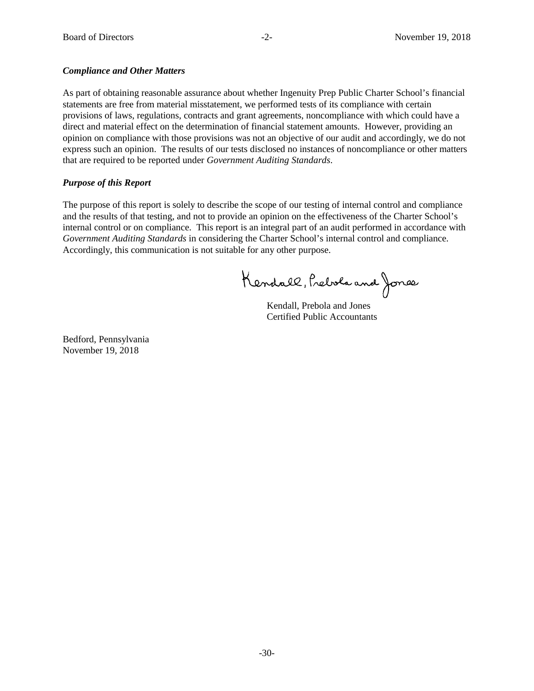#### *Compliance and Other Matters*

As part of obtaining reasonable assurance about whether Ingenuity Prep Public Charter School's financial statements are free from material misstatement, we performed tests of its compliance with certain provisions of laws, regulations, contracts and grant agreements, noncompliance with which could have a direct and material effect on the determination of financial statement amounts. However, providing an opinion on compliance with those provisions was not an objective of our audit and accordingly, we do not express such an opinion. The results of our tests disclosed no instances of noncompliance or other matters that are required to be reported under *Government Auditing Standards*.

### *Purpose of this Report*

The purpose of this report is solely to describe the scope of our testing of internal control and compliance and the results of that testing, and not to provide an opinion on the effectiveness of the Charter School's internal control or on compliance. This report is an integral part of an audit performed in accordance with *Government Auditing Standards* in considering the Charter School's internal control and compliance. Accordingly, this communication is not suitable for any other purpose.

Kendall, frebola and Jones

Kendall, Prebola and Jones Certified Public Accountants

Bedford, Pennsylvania November 19, 2018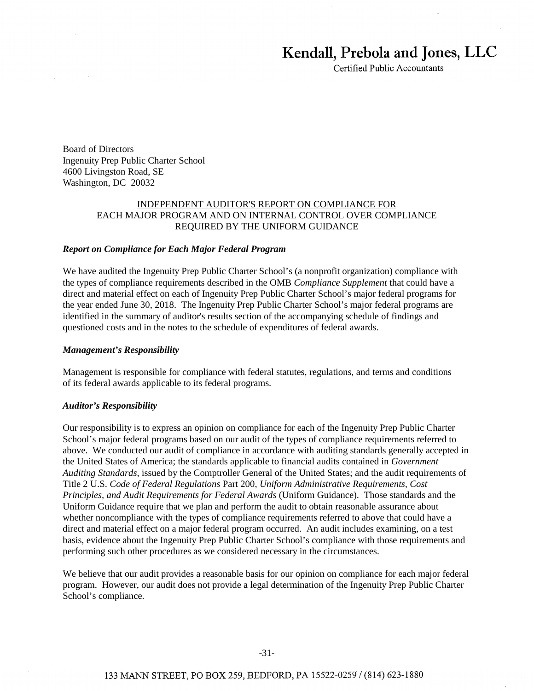# **Kendall, Prebola and Jones, LLC**

Certified Public Accountants Certified Public Accountants

Ingenuity Prep Public Charter School 4600 Livingston Road, SE Washington, DC 20032

#### INDEPENDENT AUDITOR'S REPORT ON COMPLIANCE FOR EACH MAJOR PROGRAM AND ON INTERNAL CONTROL OVER COMPLIANCE REQUIRED BY THE UNIFORM GUIDANCE

#### *Report on Compliance for Each Major Federal Program*

We have audited the Ingenuity Prep Public Charter School's (a nonprofit organization) compliance with the types of compliance requirements described in the OMB *Compliance Supplement* that could have a direct and material effect on each of Ingenuity Prep Public Charter School's major federal programs for the year ended June 30, 2018. The Ingenuity Prep Public Charter School's major federal programs are identified in the summary of auditor's results section of the accompanying schedule of findings and questioned costs and in the notes to the schedule of expenditures of federal awards.

#### *Management's Responsibility*

Management is responsible for compliance with federal statutes, regulations, and terms and conditions of its federal awards applicable to its federal programs.

#### *Auditor's Responsibility*

Homet of United Charter School<br>
Hogenity Prep Public Charter School<br>
4600 Livingston Road, SE<br>
4600 Livingston Road, SE<br>
162CH MAJOR PROGRAM AND DON INTERNAL CONTROL TOWEL CONFIGUATION<br>
EQUENCE PROGRAM AND DON INTERNAL CON Our responsibility is to express an opinion on compliance for each of the Ingenuity Prep Public Charter School's major federal programs based on our audit of the types of compliance requirements referred to above. We conducted our audit of compliance in accordance with auditing standards generally accepted in the United States of America; the standards applicable to financial audits contained in *Government Auditing Standards*, issued by the Comptroller General of the United States; and the audit requirements of Title 2 U.S. *Code of Federal Regulations* Part 200, *Uniform Administrative Requirements, Cost Principles, and Audit Requirements for Federal Awards* (Uniform Guidance). Those standards and the Uniform Guidance require that we plan and perform the audit to obtain reasonable assurance about whether noncompliance with the types of compliance requirements referred to above that could have a direct and material effect on a major federal program occurred. An audit includes examining, on a test basis, evidence about the Ingenuity Prep Public Charter School's compliance with those requirements and performing such other procedures as we considered necessary in the circumstances.

We believe that our audit provides a reasonable basis for our opinion on compliance for each major federal program. However, our audit does not provide a legal determination of the Ingenuity Prep Public Charter School's compliance.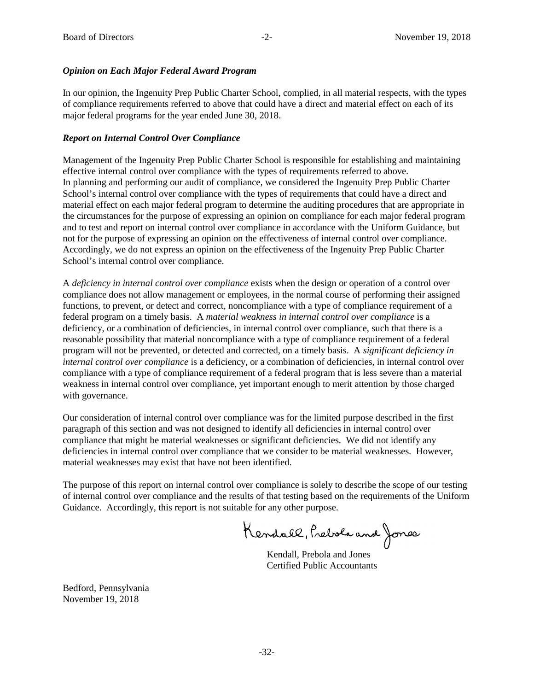#### *Opinion on Each Major Federal Award Program*

In our opinion, the Ingenuity Prep Public Charter School, complied, in all material respects, with the types of compliance requirements referred to above that could have a direct and material effect on each of its major federal programs for the year ended June 30, 2018.

#### *Report on Internal Control Over Compliance*

Management of the Ingenuity Prep Public Charter School is responsible for establishing and maintaining effective internal control over compliance with the types of requirements referred to above. In planning and performing our audit of compliance, we considered the Ingenuity Prep Public Charter School's internal control over compliance with the types of requirements that could have a direct and material effect on each major federal program to determine the auditing procedures that are appropriate in the circumstances for the purpose of expressing an opinion on compliance for each major federal program and to test and report on internal control over compliance in accordance with the Uniform Guidance, but not for the purpose of expressing an opinion on the effectiveness of internal control over compliance. Accordingly, we do not express an opinion on the effectiveness of the Ingenuity Prep Public Charter School's internal control over compliance.

A *deficiency in internal control over compliance* exists when the design or operation of a control over compliance does not allow management or employees, in the normal course of performing their assigned functions, to prevent, or detect and correct, noncompliance with a type of compliance requirement of a federal program on a timely basis. A *material weakness in internal control over compliance* is a deficiency, or a combination of deficiencies, in internal control over compliance, such that there is a reasonable possibility that material noncompliance with a type of compliance requirement of a federal program will not be prevented, or detected and corrected, on a timely basis. A *significant deficiency in internal control over compliance* is a deficiency, or a combination of deficiencies, in internal control over compliance with a type of compliance requirement of a federal program that is less severe than a material weakness in internal control over compliance, yet important enough to merit attention by those charged with governance.

Our consideration of internal control over compliance was for the limited purpose described in the first paragraph of this section and was not designed to identify all deficiencies in internal control over compliance that might be material weaknesses or significant deficiencies. We did not identify any deficiencies in internal control over compliance that we consider to be material weaknesses. However, material weaknesses may exist that have not been identified.

The purpose of this report on internal control over compliance is solely to describe the scope of our testing of internal control over compliance and the results of that testing based on the requirements of the Uniform Guidance. Accordingly, this report is not suitable for any other purpose.

 $\forall$  endall, frebola and fonce

Kendall, Prebola and Jones Certified Public Accountants

Bedford, Pennsylvania November 19, 2018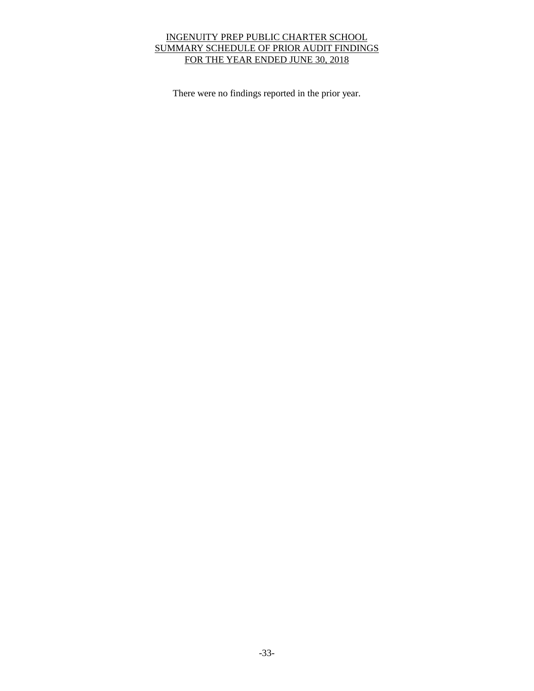# INGENUITY PREP PUBLIC CHARTER SCHOOL SUMMARY SCHEDULE OF PRIOR AUDIT FINDINGS FOR THE YEAR ENDED JUNE 30, 2018

There were no findings reported in the prior year.